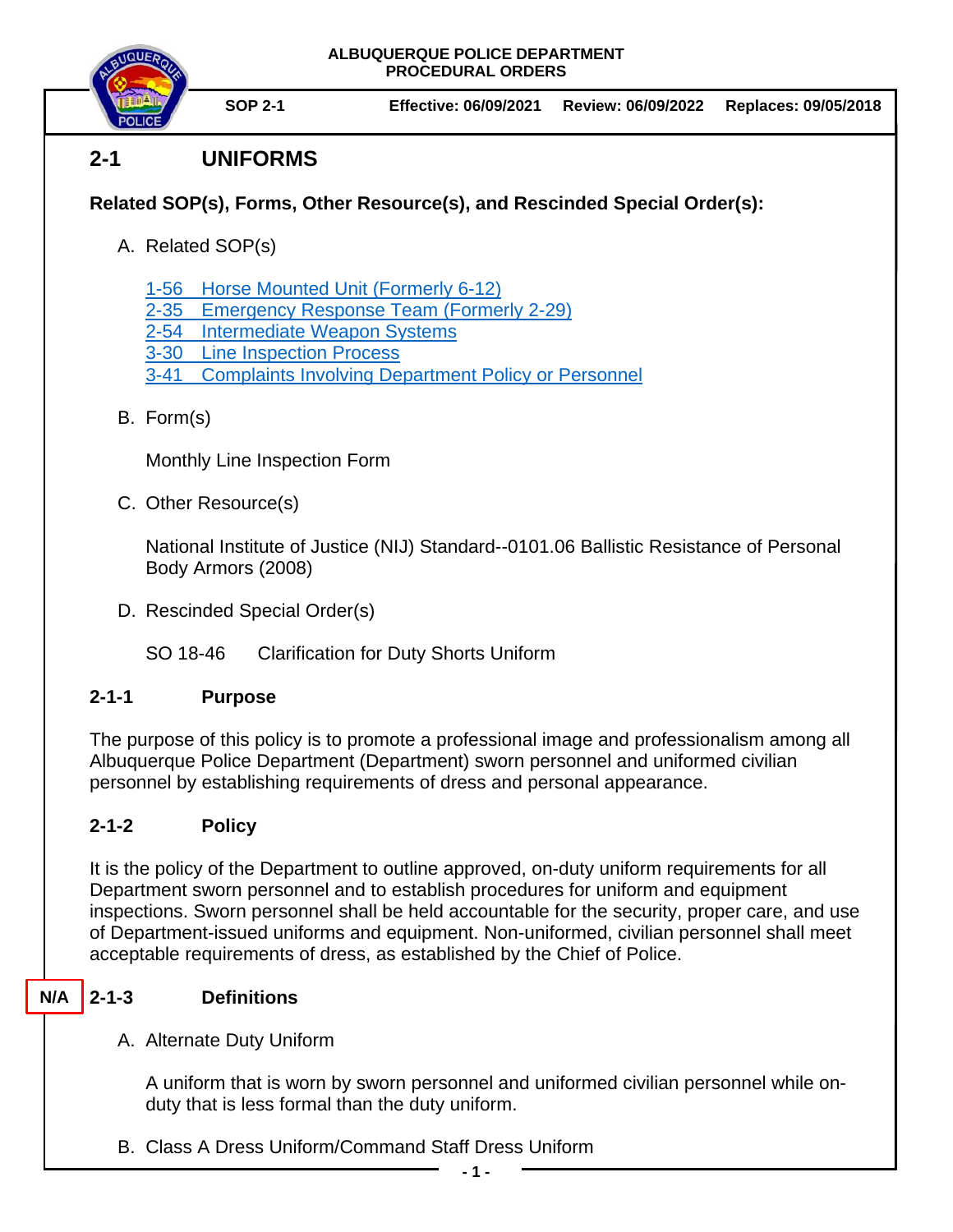

**SOP 2-1 Effective: 06/09/2021 Review: 06/09/2022 Replaces: 09/05/2018**

# **2-1 UNIFORMS**

## **Related SOP(s), Forms, Other Resource(s), and Rescinded Special Order(s):**

- A. Related SOP(s)
	- [1-56 Horse Mounted Unit \(Formerly](https://powerdms.com/docs/2163372) 6-12)
	- [2-35 Emergency Response Team](https://powerdms.com/docs/68) (Formerly 2-29)
	- [2-54 Intermediate Weapon Systems](https://powerdms.com/docs/1897091)
	- 3-30 [Line Inspection Process](https://powerdms.com/docs/183)
	- 3-41 [Complaints Involving Department Policy or Personnel](https://powerdms.com/docs/184)
- B. Form(s)

Monthly Line Inspection Form

C. Other Resource(s)

National Institute of Justice (NIJ) Standard--0101.06 Ballistic Resistance of Personal Body Armors (2008)

D. Rescinded Special Order(s)

SO 18-46 Clarification for Duty Shorts Uniform

## **2-1-1 Purpose**

The purpose of this policy is to promote a professional image and professionalism among all Albuquerque Police Department (Department) sworn personnel and uniformed civilian personnel by establishing requirements of dress and personal appearance.

## **2-1-2 Policy**

It is the policy of the Department to outline approved, on-duty uniform requirements for all Department sworn personnel and to establish procedures for uniform and equipment inspections. Sworn personnel shall be held accountable for the security, proper care, and use of Department-issued uniforms and equipment. Non-uniformed, civilian personnel shall meet acceptable requirements of dress, as established by the Chief of Police.

#### **2-1-3 Definitions N/A**

A. Alternate Duty Uniform

A uniform that is worn by sworn personnel and uniformed civilian personnel while onduty that is less formal than the duty uniform.

B. Class A Dress Uniform/Command Staff Dress Uniform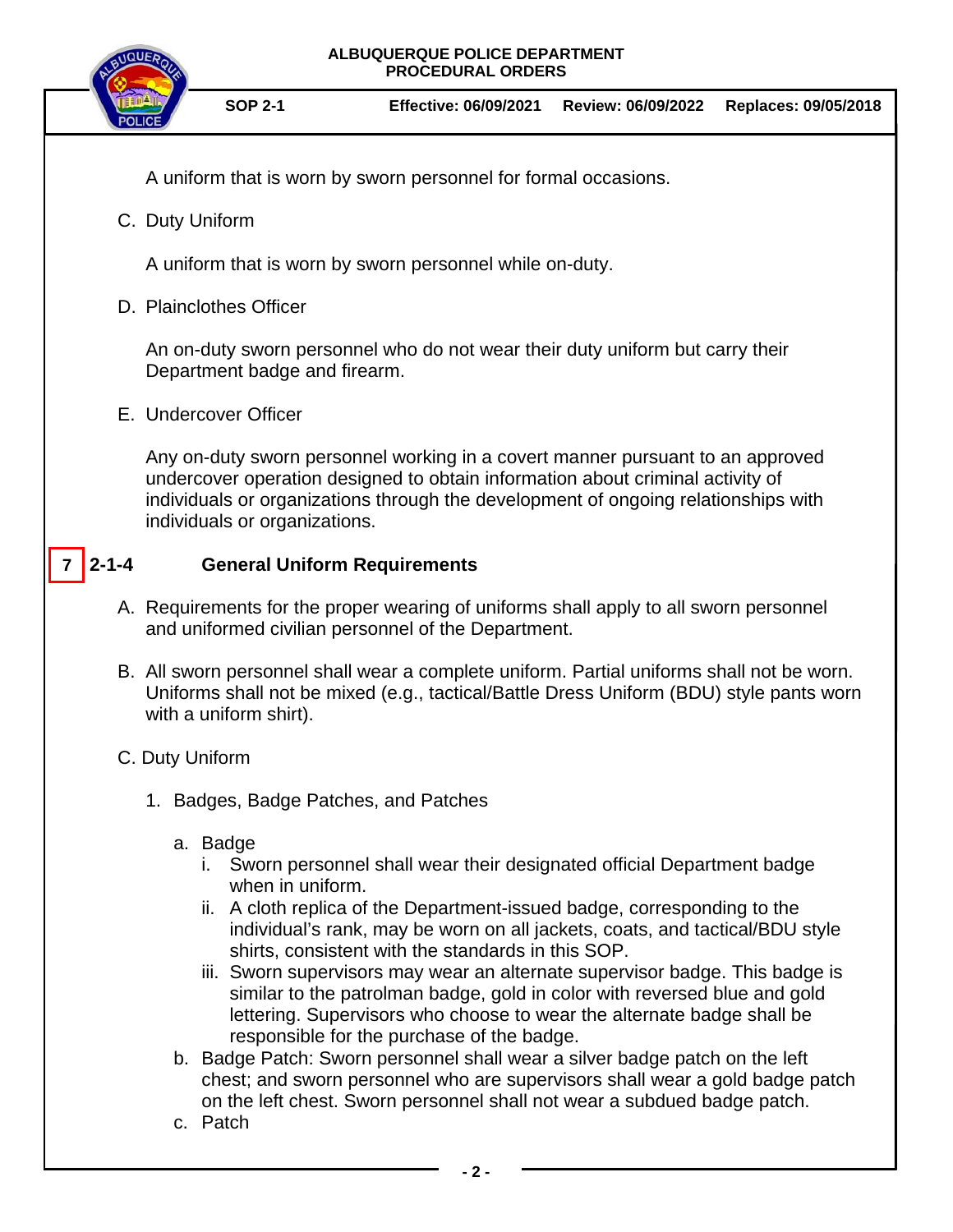

A uniform that is worn by sworn personnel for formal occasions.

C. Duty Uniform

A uniform that is worn by sworn personnel while on-duty.

D. Plainclothes Officer

An on-duty sworn personnel who do not wear their duty uniform but carry their Department badge and firearm.

E. Undercover Officer

Any on-duty sworn personnel working in a covert manner pursuant to an approved undercover operation designed to obtain information about criminal activity of individuals or organizations through the development of ongoing relationships with individuals or organizations.

## **2-1-4 General Uniform Requirements**

- A. Requirements for the proper wearing of uniforms shall apply to all sworn personnel and uniformed civilian personnel of the Department.
- B. All sworn personnel shall wear a complete uniform. Partial uniforms shall not be worn. Uniforms shall not be mixed (e.g., tactical/Battle Dress Uniform (BDU) style pants worn with a uniform shirt).

## C. Duty Uniform

**7**

- 1. Badges, Badge Patches, and Patches
	- a. Badge
		- i. Sworn personnel shall wear their designated official Department badge when in uniform.
		- ii. A cloth replica of the Department-issued badge, corresponding to the individual's rank, may be worn on all jackets, coats, and tactical/BDU style shirts, consistent with the standards in this SOP.
		- iii. Sworn supervisors may wear an alternate supervisor badge. This badge is similar to the patrolman badge, gold in color with reversed blue and gold lettering. Supervisors who choose to wear the alternate badge shall be responsible for the purchase of the badge.
	- b. Badge Patch: Sworn personnel shall wear a silver badge patch on the left chest; and sworn personnel who are supervisors shall wear a gold badge patch on the left chest. Sworn personnel shall not wear a subdued badge patch.
	- c. Patch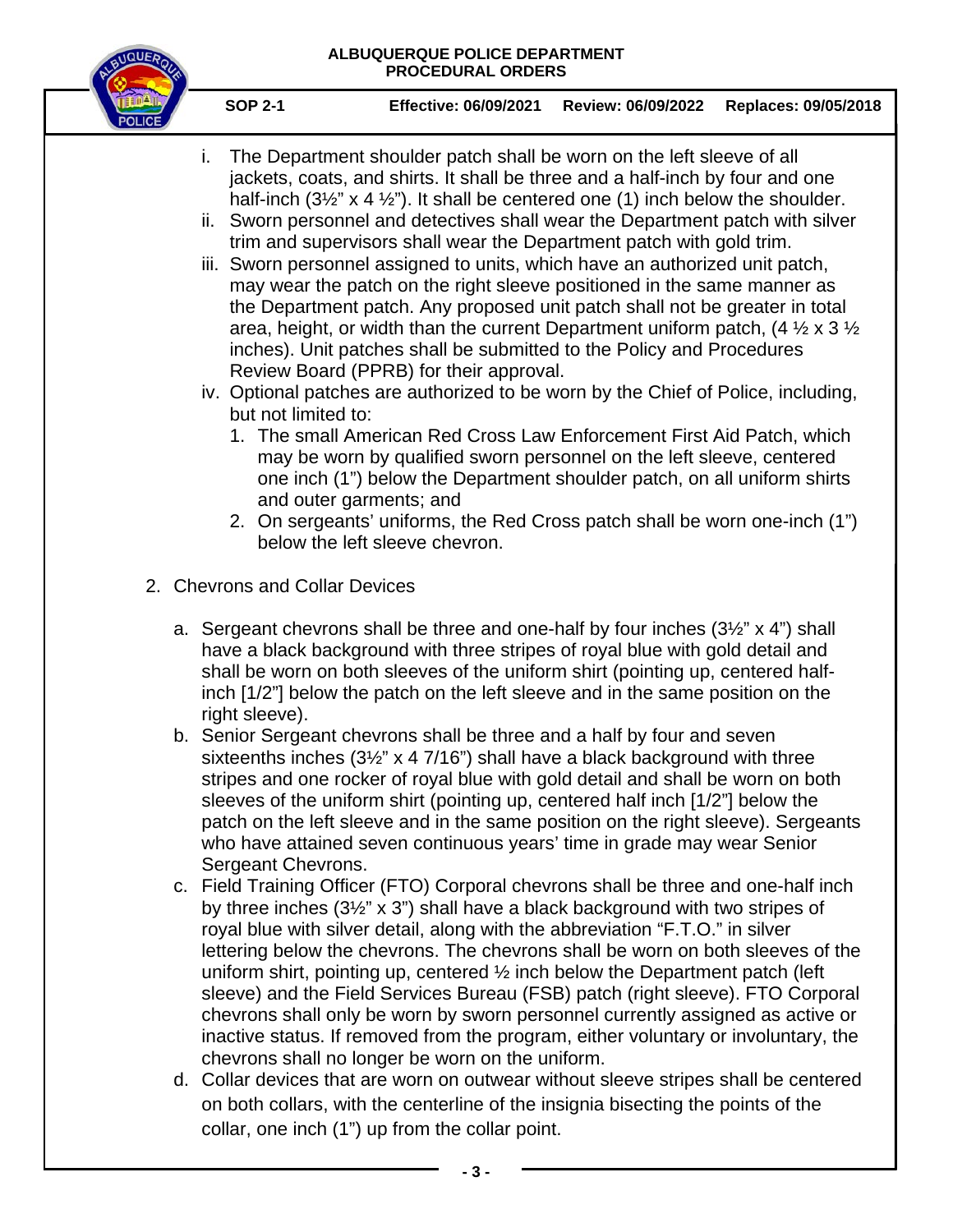

- i. The Department shoulder patch shall be worn on the left sleeve of all jackets, coats, and shirts. It shall be three and a half-inch by four and one half-inch  $(3\frac{1}{2}$ " x 4  $\frac{1}{2}$ "). It shall be centered one (1) inch below the shoulder.
- ii. Sworn personnel and detectives shall wear the Department patch with silver trim and supervisors shall wear the Department patch with gold trim.
- iii. Sworn personnel assigned to units, which have an authorized unit patch, may wear the patch on the right sleeve positioned in the same manner as the Department patch. Any proposed unit patch shall not be greater in total area, height, or width than the current Department uniform patch,  $(4 \frac{1}{2} \times 3 \frac{1}{2})$ inches). Unit patches shall be submitted to the Policy and Procedures Review Board (PPRB) for their approval.
- iv. Optional patches are authorized to be worn by the Chief of Police, including, but not limited to:
	- 1. The small American Red Cross Law Enforcement First Aid Patch, which may be worn by qualified sworn personnel on the left sleeve, centered one inch (1") below the Department shoulder patch, on all uniform shirts and outer garments; and
	- 2. On sergeants' uniforms, the Red Cross patch shall be worn one-inch (1") below the left sleeve chevron.
- 2. Chevrons and Collar Devices
	- a. Sergeant chevrons shall be three and one-half by four inches (3½" x 4") shall have a black background with three stripes of royal blue with gold detail and shall be worn on both sleeves of the uniform shirt (pointing up, centered halfinch [1/2"] below the patch on the left sleeve and in the same position on the right sleeve).
	- b. Senior Sergeant chevrons shall be three and a half by four and seven sixteenths inches (3½" x 4 7/16") shall have a black background with three stripes and one rocker of royal blue with gold detail and shall be worn on both sleeves of the uniform shirt (pointing up, centered half inch [1/2"] below the patch on the left sleeve and in the same position on the right sleeve). Sergeants who have attained seven continuous years' time in grade may wear Senior Sergeant Chevrons.
	- c. Field Training Officer (FTO) Corporal chevrons shall be three and one-half inch by three inches (3½" x 3") shall have a black background with two stripes of royal blue with silver detail, along with the abbreviation "F.T.O." in silver lettering below the chevrons. The chevrons shall be worn on both sleeves of the uniform shirt, pointing up, centered ½ inch below the Department patch (left sleeve) and the Field Services Bureau (FSB) patch (right sleeve). FTO Corporal chevrons shall only be worn by sworn personnel currently assigned as active or inactive status. If removed from the program, either voluntary or involuntary, the chevrons shall no longer be worn on the uniform.
	- d. Collar devices that are worn on outwear without sleeve stripes shall be centered on both collars, with the centerline of the insignia bisecting the points of the collar, one inch (1") up from the collar point.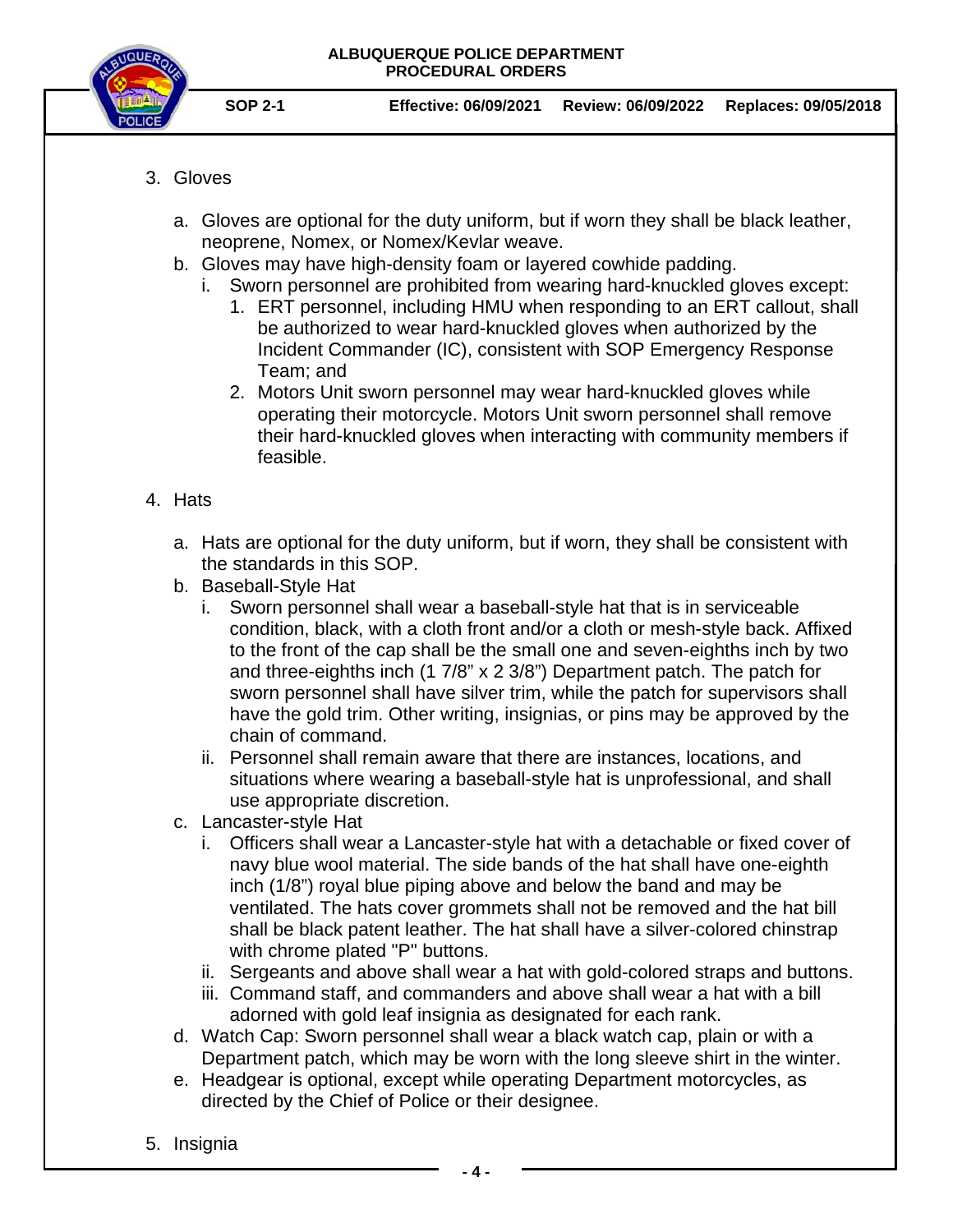

- **SOP 2-1 Effective: 06/09/2021 Review: 06/09/2022 Replaces: 09/05/2018**
- 3. Gloves
	- a. Gloves are optional for the duty uniform, but if worn they shall be black leather, neoprene, Nomex, or Nomex/Kevlar weave.
	- b. Gloves may have high-density foam or layered cowhide padding.
		- i. Sworn personnel are prohibited from wearing hard-knuckled gloves except:
			- 1. ERT personnel, including HMU when responding to an ERT callout, shall be authorized to wear hard-knuckled gloves when authorized by the Incident Commander (IC), consistent with SOP Emergency Response Team; and
			- 2. Motors Unit sworn personnel may wear hard-knuckled gloves while operating their motorcycle. Motors Unit sworn personnel shall remove their hard-knuckled gloves when interacting with community members if feasible.
- 4. Hats
	- a. Hats are optional for the duty uniform, but if worn, they shall be consistent with the standards in this SOP.
	- b. Baseball-Style Hat
		- i. Sworn personnel shall wear a baseball-style hat that is in serviceable condition, black, with a cloth front and/or a cloth or mesh-style back. Affixed to the front of the cap shall be the small one and seven-eighths inch by two and three-eighths inch (1 7/8" x 2 3/8") Department patch. The patch for sworn personnel shall have silver trim, while the patch for supervisors shall have the gold trim. Other writing, insignias, or pins may be approved by the chain of command.
		- ii. Personnel shall remain aware that there are instances, locations, and situations where wearing a baseball-style hat is unprofessional, and shall use appropriate discretion.
	- c. Lancaster-style Hat
		- i. Officers shall wear a Lancaster-style hat with a detachable or fixed cover of navy blue wool material. The side bands of the hat shall have one-eighth inch (1/8") royal blue piping above and below the band and may be ventilated. The hats cover grommets shall not be removed and the hat bill shall be black patent leather. The hat shall have a silver-colored chinstrap with chrome plated "P" buttons.
		- ii. Sergeants and above shall wear a hat with gold-colored straps and buttons.
		- iii. Command staff, and commanders and above shall wear a hat with a bill adorned with gold leaf insignia as designated for each rank.
	- d. Watch Cap: Sworn personnel shall wear a black watch cap, plain or with a Department patch, which may be worn with the long sleeve shirt in the winter.
	- e. Headgear is optional, except while operating Department motorcycles, as directed by the Chief of Police or their designee.
- 5. Insignia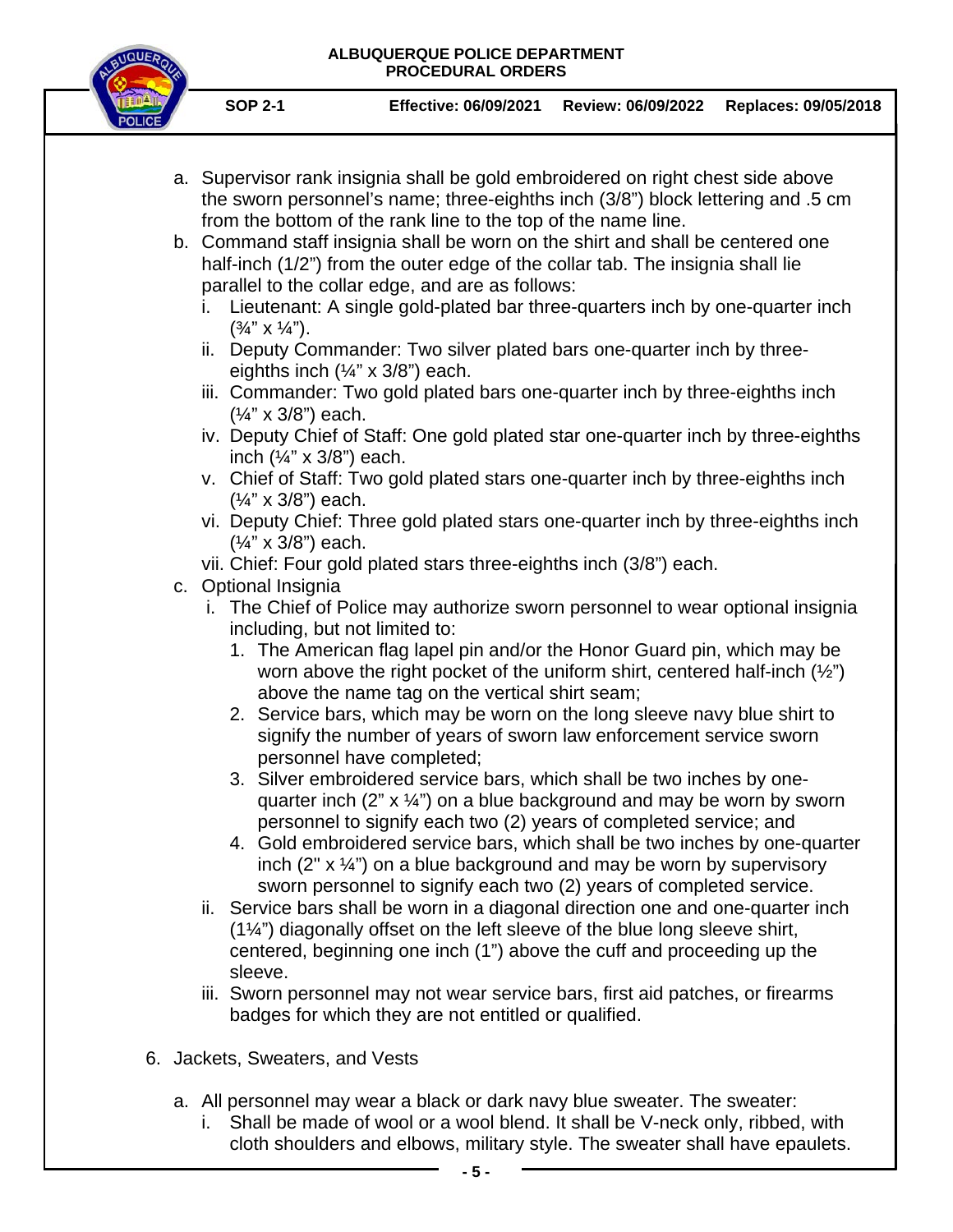

- a. Supervisor rank insignia shall be gold embroidered on right chest side above the sworn personnel's name; three-eighths inch (3/8") block lettering and .5 cm from the bottom of the rank line to the top of the name line.
- b. Command staff insignia shall be worn on the shirt and shall be centered one half-inch (1/2") from the outer edge of the collar tab. The insignia shall lie parallel to the collar edge, and are as follows:
	- i. Lieutenant: A single gold-plated bar three-quarters inch by one-quarter inch  $(\frac{3}{4}$ " X  $\frac{1}{4}$ ").
	- ii. Deputy Commander: Two silver plated bars one-quarter inch by threeeighths inch  $(\frac{1}{4}$ " x 3/8") each.
	- iii. Commander: Two gold plated bars one-quarter inch by three-eighths inch (¼" x 3/8") each.
	- iv. Deputy Chief of Staff: One gold plated star one-quarter inch by three-eighths inch  $(\frac{1}{4}$ " x 3/8") each.
	- v. Chief of Staff: Two gold plated stars one-quarter inch by three-eighths inch (¼" x 3/8") each.
	- vi. Deputy Chief: Three gold plated stars one-quarter inch by three-eighths inch (¼" x 3/8") each.
	- vii. Chief: Four gold plated stars three-eighths inch (3/8") each.
- c. Optional Insignia
	- i. The Chief of Police may authorize sworn personnel to wear optional insignia including, but not limited to:
		- 1. The American flag lapel pin and/or the Honor Guard pin, which may be worn above the right pocket of the uniform shirt, centered half-inch  $(\frac{1}{2})$ above the name tag on the vertical shirt seam;
		- 2. Service bars, which may be worn on the long sleeve navy blue shirt to signify the number of years of sworn law enforcement service sworn personnel have completed;
		- 3. Silver embroidered service bars, which shall be two inches by onequarter inch  $(2'' \times \frac{1}{4})$  on a blue background and may be worn by sworn personnel to signify each two (2) years of completed service; and
		- 4. Gold embroidered service bars, which shall be two inches by one-quarter inch  $(2'' \times \frac{1}{4})$  on a blue background and may be worn by supervisory sworn personnel to signify each two (2) years of completed service.
	- ii. Service bars shall be worn in a diagonal direction one and one-quarter inch (1¼") diagonally offset on the left sleeve of the blue long sleeve shirt, centered, beginning one inch (1") above the cuff and proceeding up the sleeve.
	- iii. Sworn personnel may not wear service bars, first aid patches, or firearms badges for which they are not entitled or qualified.
- 6. Jackets, Sweaters, and Vests
	- a. All personnel may wear a black or dark navy blue sweater. The sweater:
		- i. Shall be made of wool or a wool blend. It shall be V-neck only, ribbed, with cloth shoulders and elbows, military style. The sweater shall have epaulets.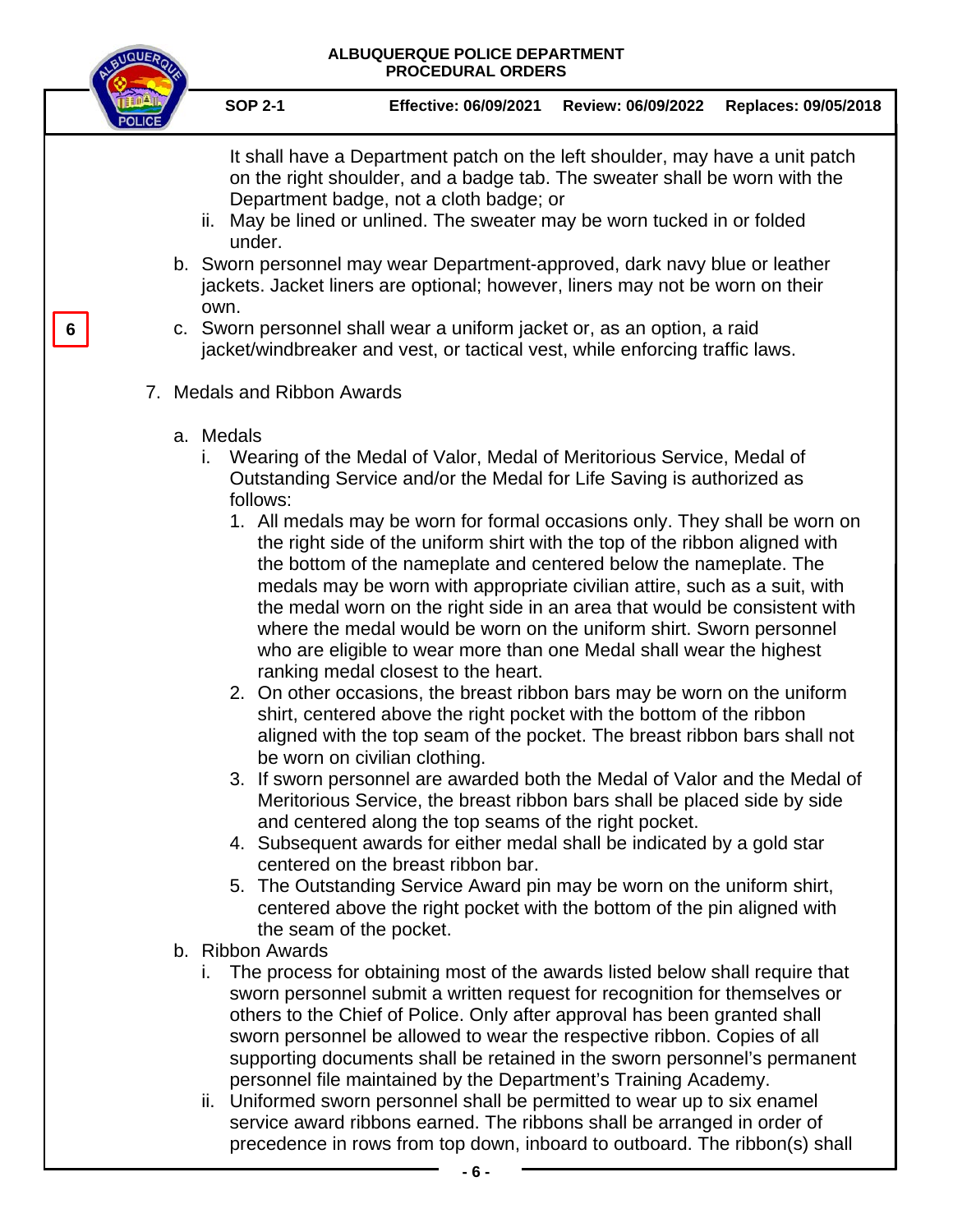# **ALBUQUERQUE POLICE DEPARTMENT**

**QUOUERO** 

|   | <b>PROCEDURAL ORDERS</b>                                                                                                                                                                                                                                                                                                                                                                                                                                                                                                                                                                                                                                                                                                                                                                                                                                                                                                                                                                                                                                                                                                                                                                                                                                                                                                                                                                                                                                                                                                                             |
|---|------------------------------------------------------------------------------------------------------------------------------------------------------------------------------------------------------------------------------------------------------------------------------------------------------------------------------------------------------------------------------------------------------------------------------------------------------------------------------------------------------------------------------------------------------------------------------------------------------------------------------------------------------------------------------------------------------------------------------------------------------------------------------------------------------------------------------------------------------------------------------------------------------------------------------------------------------------------------------------------------------------------------------------------------------------------------------------------------------------------------------------------------------------------------------------------------------------------------------------------------------------------------------------------------------------------------------------------------------------------------------------------------------------------------------------------------------------------------------------------------------------------------------------------------------|
|   | <b>SOP 2-1</b><br>Effective: 06/09/2021<br>Replaces: 09/05/2018<br>Review: 06/09/2022                                                                                                                                                                                                                                                                                                                                                                                                                                                                                                                                                                                                                                                                                                                                                                                                                                                                                                                                                                                                                                                                                                                                                                                                                                                                                                                                                                                                                                                                |
|   | It shall have a Department patch on the left shoulder, may have a unit patch<br>on the right shoulder, and a badge tab. The sweater shall be worn with the<br>Department badge, not a cloth badge; or<br>ii. May be lined or unlined. The sweater may be worn tucked in or folded<br>under.                                                                                                                                                                                                                                                                                                                                                                                                                                                                                                                                                                                                                                                                                                                                                                                                                                                                                                                                                                                                                                                                                                                                                                                                                                                          |
|   | b. Sworn personnel may wear Department-approved, dark navy blue or leather<br>jackets. Jacket liners are optional; however, liners may not be worn on their<br>own.                                                                                                                                                                                                                                                                                                                                                                                                                                                                                                                                                                                                                                                                                                                                                                                                                                                                                                                                                                                                                                                                                                                                                                                                                                                                                                                                                                                  |
| 6 | c. Sworn personnel shall wear a uniform jacket or, as an option, a raid<br>jacket/windbreaker and vest, or tactical vest, while enforcing traffic laws.                                                                                                                                                                                                                                                                                                                                                                                                                                                                                                                                                                                                                                                                                                                                                                                                                                                                                                                                                                                                                                                                                                                                                                                                                                                                                                                                                                                              |
|   | 7. Medals and Ribbon Awards                                                                                                                                                                                                                                                                                                                                                                                                                                                                                                                                                                                                                                                                                                                                                                                                                                                                                                                                                                                                                                                                                                                                                                                                                                                                                                                                                                                                                                                                                                                          |
|   | a. Medals<br>Wearing of the Medal of Valor, Medal of Meritorious Service, Medal of<br>i.<br>Outstanding Service and/or the Medal for Life Saving is authorized as<br>follows:<br>1. All medals may be worn for formal occasions only. They shall be worn on<br>the right side of the uniform shirt with the top of the ribbon aligned with<br>the bottom of the nameplate and centered below the nameplate. The<br>medals may be worn with appropriate civilian attire, such as a suit, with<br>the medal worn on the right side in an area that would be consistent with<br>where the medal would be worn on the uniform shirt. Sworn personnel<br>who are eligible to wear more than one Medal shall wear the highest<br>ranking medal closest to the heart.<br>2. On other occasions, the breast ribbon bars may be worn on the uniform<br>shirt, centered above the right pocket with the bottom of the ribbon<br>aligned with the top seam of the pocket. The breast ribbon bars shall not<br>be worn on civilian clothing.<br>3. If sworn personnel are awarded both the Medal of Valor and the Medal of<br>Meritorious Service, the breast ribbon bars shall be placed side by side<br>and centered along the top seams of the right pocket.<br>4. Subsequent awards for either medal shall be indicated by a gold star<br>centered on the breast ribbon bar.<br>5. The Outstanding Service Award pin may be worn on the uniform shirt,<br>centered above the right pocket with the bottom of the pin aligned with<br>the seam of the pocket. |
|   | b. Ribbon Awards<br>The process for obtaining most of the awards listed below shall require that<br>sworn personnel submit a written request for recognition for themselves or<br>others to the Chief of Police. Only after approval has been granted shall<br>sworn personnel be allowed to wear the respective ribbon. Copies of all<br>supporting documents shall be retained in the sworn personnel's permanent<br>personnel file maintained by the Department's Training Academy.<br>ii. Uniformed sworn personnel shall be permitted to wear up to six enamel<br>service award ribbons earned. The ribbons shall be arranged in order of<br>precedence in rows from top down, inboard to outboard. The ribbon(s) shall                                                                                                                                                                                                                                                                                                                                                                                                                                                                                                                                                                                                                                                                                                                                                                                                                         |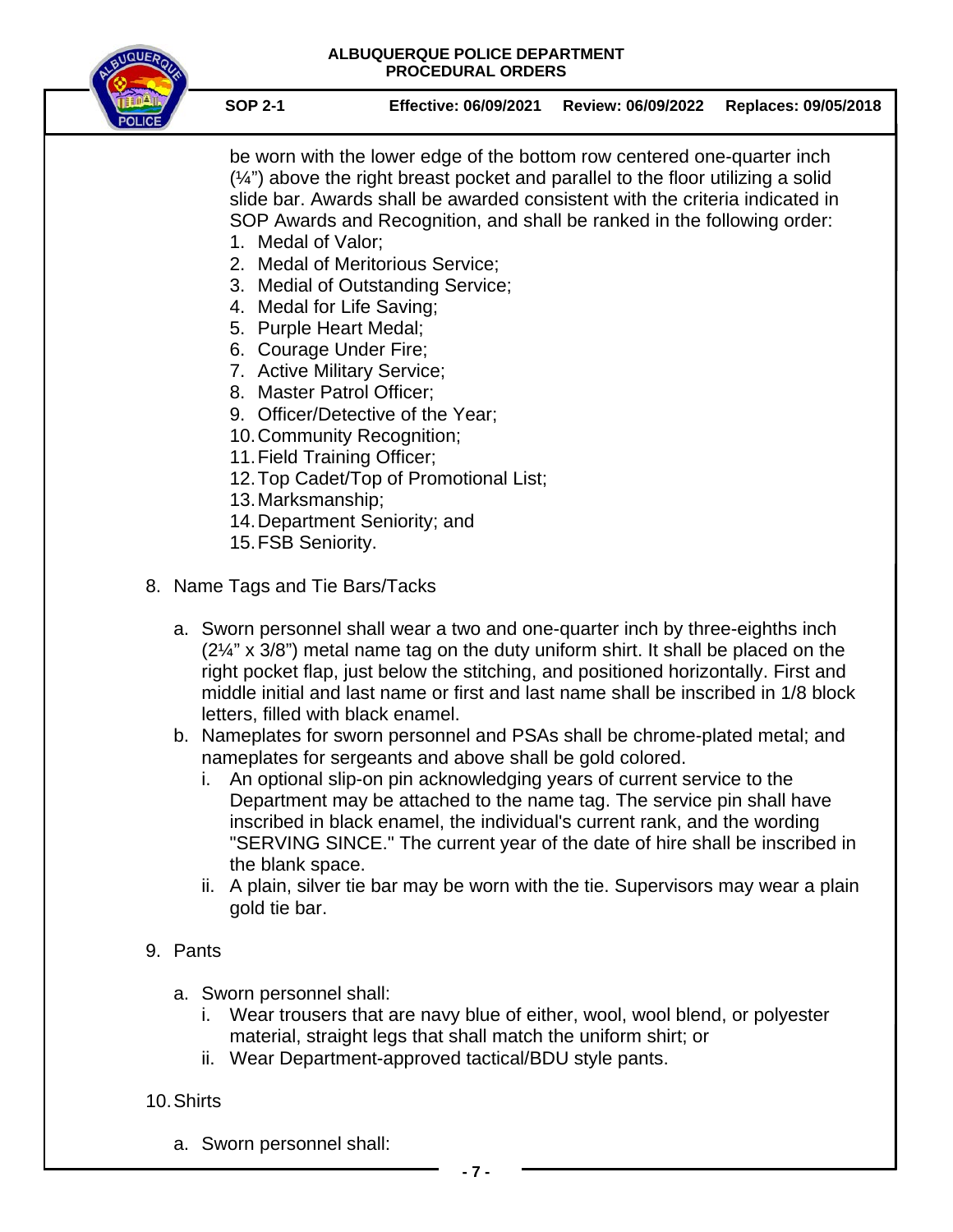

**SOP 2-1 Effective: 06/09/2021 Review: 06/09/2022 Replaces: 09/05/2018**

be worn with the lower edge of the bottom row centered one-quarter inch  $(\frac{1}{4})$  above the right breast pocket and parallel to the floor utilizing a solid slide bar. Awards shall be awarded consistent with the criteria indicated in SOP Awards and Recognition, and shall be ranked in the following order:

- 1. Medal of Valor;
- 2. Medal of Meritorious Service;
- 3. Medial of Outstanding Service;
- 4. Medal for Life Saving;
- 5. Purple Heart Medal;
- 6. Courage Under Fire;
- 7. Active Military Service;
- 8. Master Patrol Officer;
- 9. Officer/Detective of the Year;
- 10.Community Recognition;
- 11.Field Training Officer;
- 12.Top Cadet/Top of Promotional List;
- 13.Marksmanship;
- 14.Department Seniority; and
- 15.FSB Seniority.
- 8. Name Tags and Tie Bars/Tacks
	- a. Sworn personnel shall wear a two and one-quarter inch by three-eighths inch (2¼" x 3/8") metal name tag on the duty uniform shirt. It shall be placed on the right pocket flap, just below the stitching, and positioned horizontally. First and middle initial and last name or first and last name shall be inscribed in 1/8 block letters, filled with black enamel.
	- b. Nameplates for sworn personnel and PSAs shall be chrome-plated metal; and nameplates for sergeants and above shall be gold colored.
		- i. An optional slip-on pin acknowledging years of current service to the Department may be attached to the name tag. The service pin shall have inscribed in black enamel, the individual's current rank, and the wording "SERVING SINCE." The current year of the date of hire shall be inscribed in the blank space.
		- ii. A plain, silver tie bar may be worn with the tie. Supervisors may wear a plain gold tie bar.

## 9. Pants

- a. Sworn personnel shall:
	- i. Wear trousers that are navy blue of either, wool, wool blend, or polyester material, straight legs that shall match the uniform shirt; or
	- ii. Wear Department-approved tactical/BDU style pants.
- 10.Shirts
	- a. Sworn personnel shall: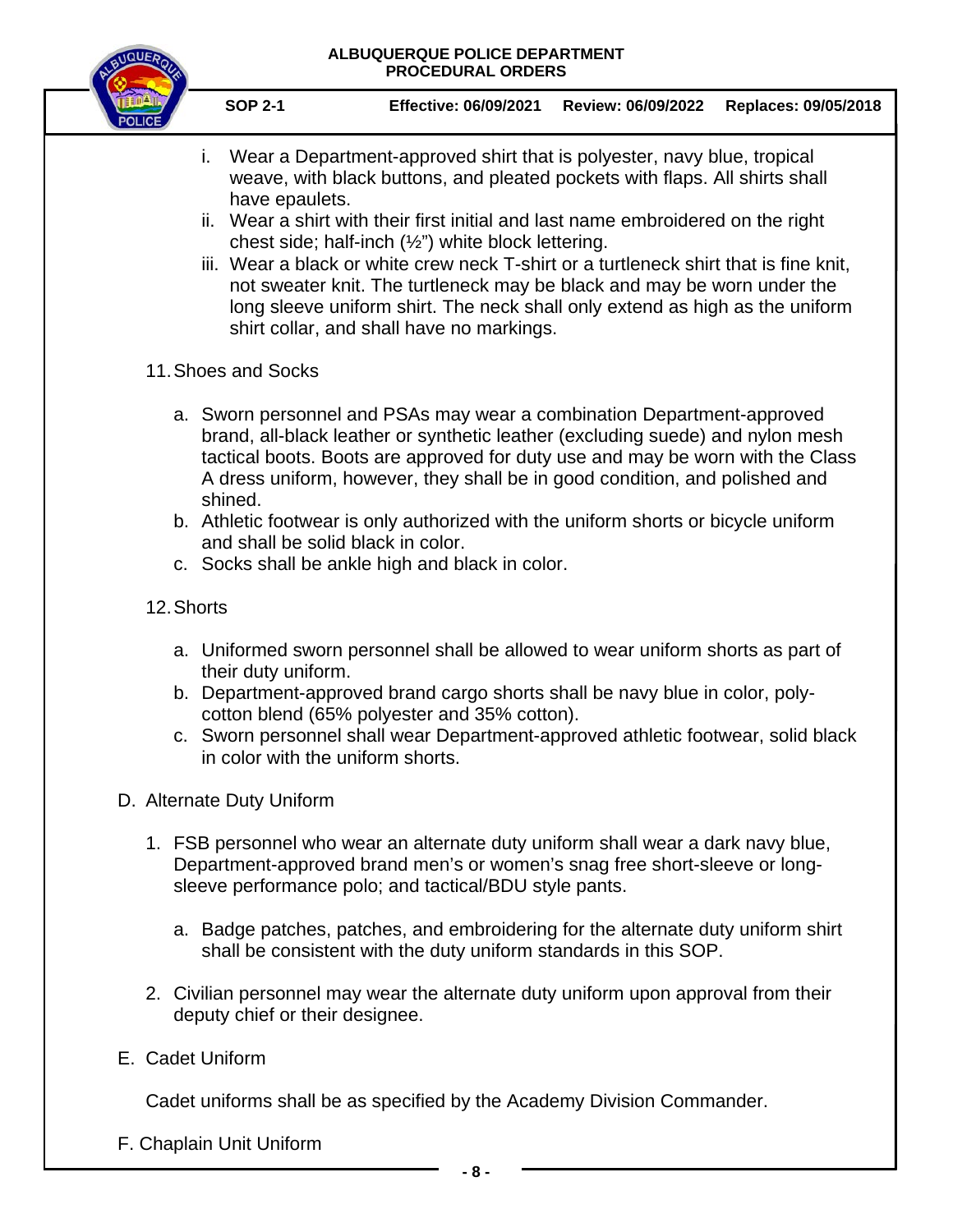

- i. Wear a Department-approved shirt that is polyester, navy blue, tropical weave, with black buttons, and pleated pockets with flaps. All shirts shall have epaulets.
- ii. Wear a shirt with their first initial and last name embroidered on the right chest side; half-inch (½") white block lettering.
- iii. Wear a black or white crew neck T-shirt or a turtleneck shirt that is fine knit, not sweater knit. The turtleneck may be black and may be worn under the long sleeve uniform shirt. The neck shall only extend as high as the uniform shirt collar, and shall have no markings.
- 11.Shoes and Socks
	- a. Sworn personnel and PSAs may wear a combination Department-approved brand, all-black leather or synthetic leather (excluding suede) and nylon mesh tactical boots. Boots are approved for duty use and may be worn with the Class A dress uniform, however, they shall be in good condition, and polished and shined.
	- b. Athletic footwear is only authorized with the uniform shorts or bicycle uniform and shall be solid black in color.
	- c. Socks shall be ankle high and black in color.

## 12.Shorts

- a. Uniformed sworn personnel shall be allowed to wear uniform shorts as part of their duty uniform.
- b. Department-approved brand cargo shorts shall be navy blue in color, polycotton blend (65% polyester and 35% cotton).
- c. Sworn personnel shall wear Department-approved athletic footwear, solid black in color with the uniform shorts.
- D. Alternate Duty Uniform
	- 1. FSB personnel who wear an alternate duty uniform shall wear a dark navy blue, Department-approved brand men's or women's snag free short-sleeve or longsleeve performance polo; and tactical/BDU style pants.
		- a. Badge patches, patches, and embroidering for the alternate duty uniform shirt shall be consistent with the duty uniform standards in this SOP.
	- 2. Civilian personnel may wear the alternate duty uniform upon approval from their deputy chief or their designee.
- E. Cadet Uniform

Cadet uniforms shall be as specified by the Academy Division Commander.

F. Chaplain Unit Uniform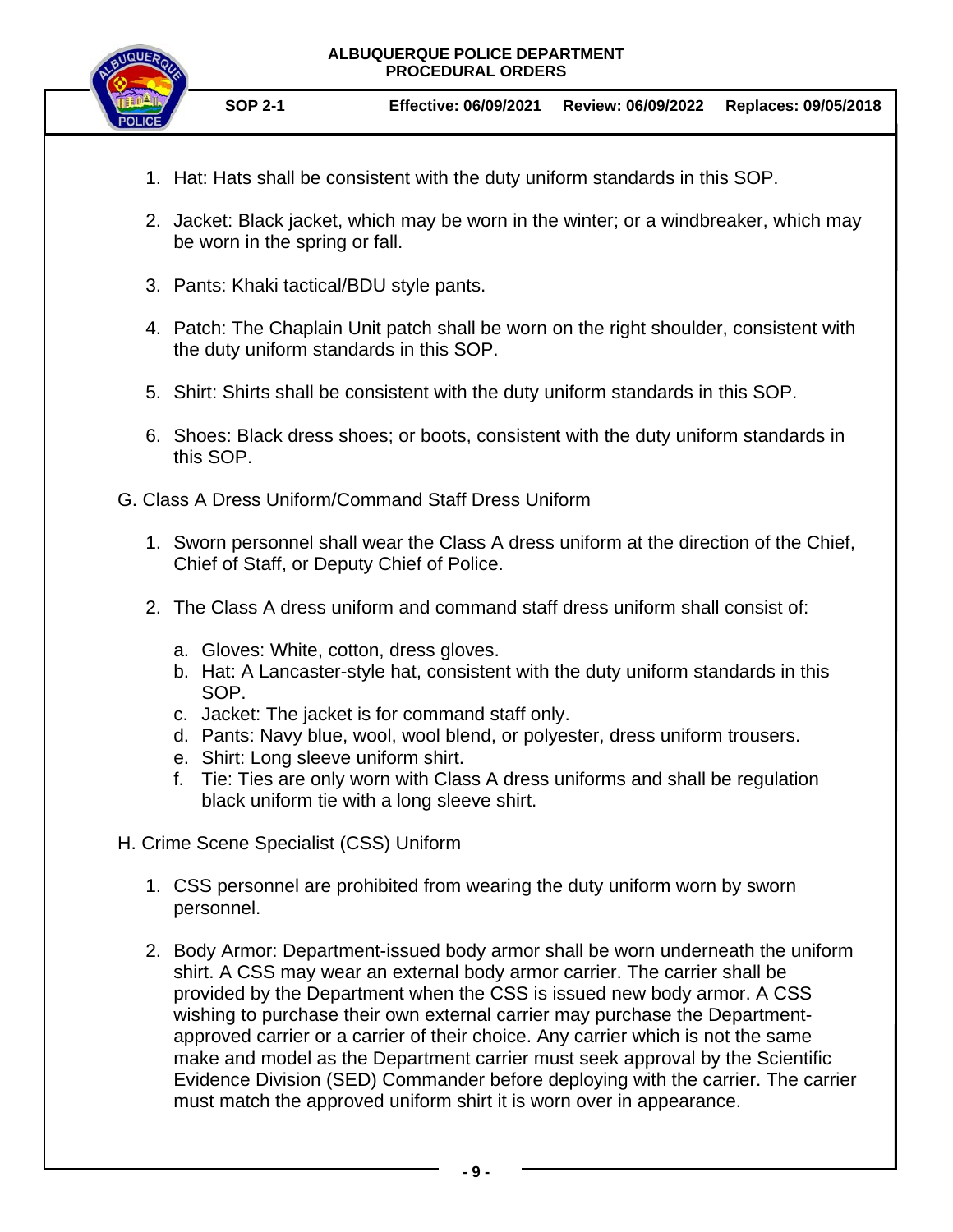

- 1. Hat: Hats shall be consistent with the duty uniform standards in this SOP.
- 2. Jacket: Black jacket, which may be worn in the winter; or a windbreaker, which may be worn in the spring or fall.
- 3. Pants: Khaki tactical/BDU style pants.
- 4. Patch: The Chaplain Unit patch shall be worn on the right shoulder, consistent with the duty uniform standards in this SOP.
- 5. Shirt: Shirts shall be consistent with the duty uniform standards in this SOP.
- 6. Shoes: Black dress shoes; or boots, consistent with the duty uniform standards in this SOP.
- G. Class A Dress Uniform/Command Staff Dress Uniform
	- 1. Sworn personnel shall wear the Class A dress uniform at the direction of the Chief, Chief of Staff, or Deputy Chief of Police.
	- 2. The Class A dress uniform and command staff dress uniform shall consist of:
		- a. Gloves: White, cotton, dress gloves.
		- b. Hat: A Lancaster-style hat, consistent with the duty uniform standards in this SOP.
		- c. Jacket: The jacket is for command staff only.
		- d. Pants: Navy blue, wool, wool blend, or polyester, dress uniform trousers.
		- e. Shirt: Long sleeve uniform shirt.
		- f. Tie: Ties are only worn with Class A dress uniforms and shall be regulation black uniform tie with a long sleeve shirt.
- H. Crime Scene Specialist (CSS) Uniform
	- 1. CSS personnel are prohibited from wearing the duty uniform worn by sworn personnel.
	- 2. Body Armor: Department-issued body armor shall be worn underneath the uniform shirt. A CSS may wear an external body armor carrier. The carrier shall be provided by the Department when the CSS is issued new body armor. A CSS wishing to purchase their own external carrier may purchase the Departmentapproved carrier or a carrier of their choice. Any carrier which is not the same make and model as the Department carrier must seek approval by the Scientific Evidence Division (SED) Commander before deploying with the carrier. The carrier must match the approved uniform shirt it is worn over in appearance.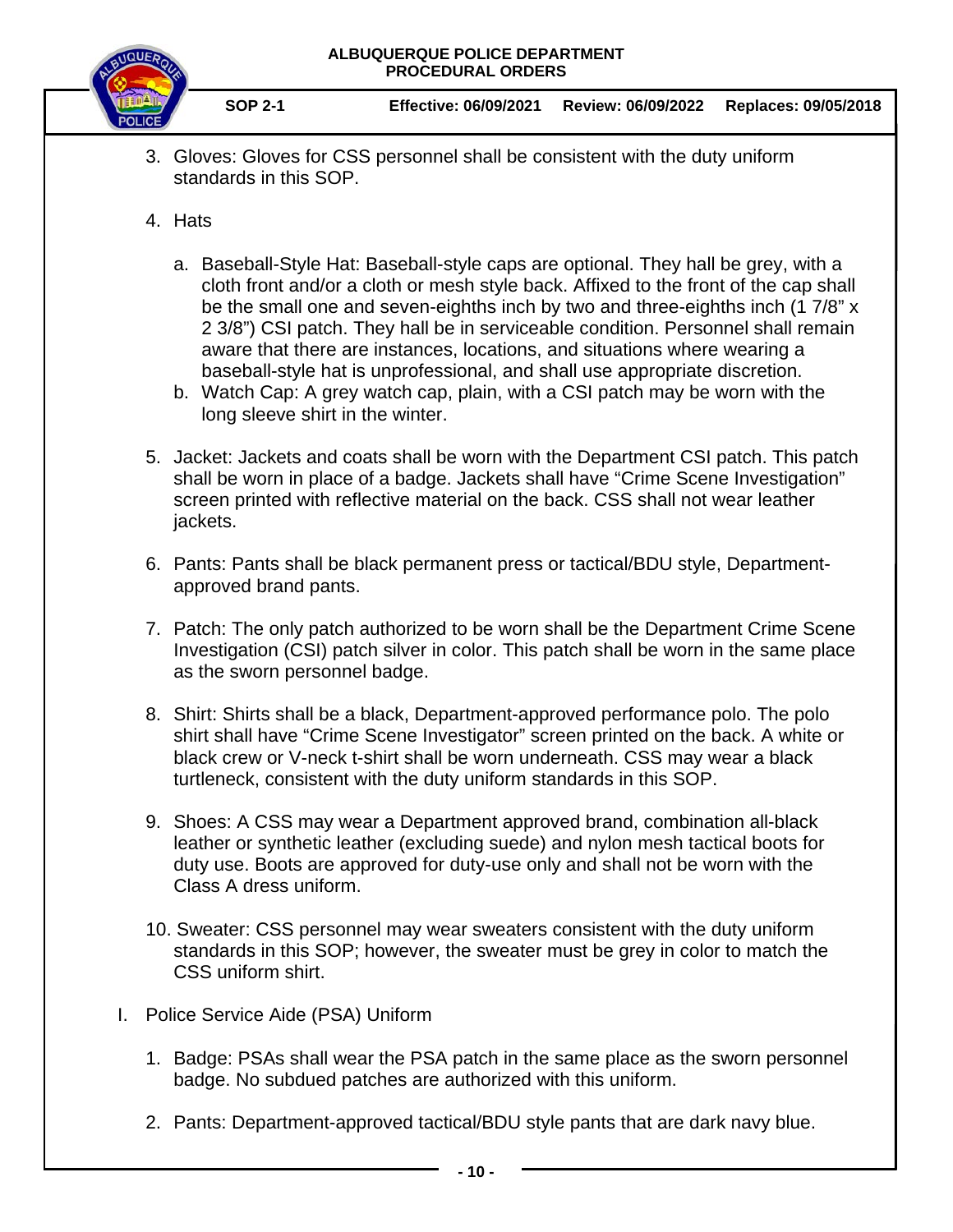

- 3. Gloves: Gloves for CSS personnel shall be consistent with the duty uniform standards in this SOP.
- 4. Hats
	- a. Baseball-Style Hat: Baseball-style caps are optional. They hall be grey, with a cloth front and/or a cloth or mesh style back. Affixed to the front of the cap shall be the small one and seven-eighths inch by two and three-eighths inch (1 7/8" x 2 3/8") CSI patch. They hall be in serviceable condition. Personnel shall remain aware that there are instances, locations, and situations where wearing a baseball-style hat is unprofessional, and shall use appropriate discretion.
	- b. Watch Cap: A grey watch cap, plain, with a CSI patch may be worn with the long sleeve shirt in the winter.
- 5. Jacket: Jackets and coats shall be worn with the Department CSI patch. This patch shall be worn in place of a badge. Jackets shall have "Crime Scene Investigation" screen printed with reflective material on the back. CSS shall not wear leather jackets.
- 6. Pants: Pants shall be black permanent press or tactical/BDU style, Departmentapproved brand pants.
- 7. Patch: The only patch authorized to be worn shall be the Department Crime Scene Investigation (CSI) patch silver in color. This patch shall be worn in the same place as the sworn personnel badge.
- 8. Shirt: Shirts shall be a black, Department-approved performance polo. The polo shirt shall have "Crime Scene Investigator" screen printed on the back. A white or black crew or V-neck t-shirt shall be worn underneath. CSS may wear a black turtleneck, consistent with the duty uniform standards in this SOP.
- 9. Shoes: A CSS may wear a Department approved brand, combination all-black leather or synthetic leather (excluding suede) and nylon mesh tactical boots for duty use. Boots are approved for duty-use only and shall not be worn with the Class A dress uniform.
- 10. Sweater: CSS personnel may wear sweaters consistent with the duty uniform standards in this SOP; however, the sweater must be grey in color to match the CSS uniform shirt.
- I. Police Service Aide (PSA) Uniform
	- 1. Badge: PSAs shall wear the PSA patch in the same place as the sworn personnel badge. No subdued patches are authorized with this uniform.
	- 2. Pants: Department-approved tactical/BDU style pants that are dark navy blue.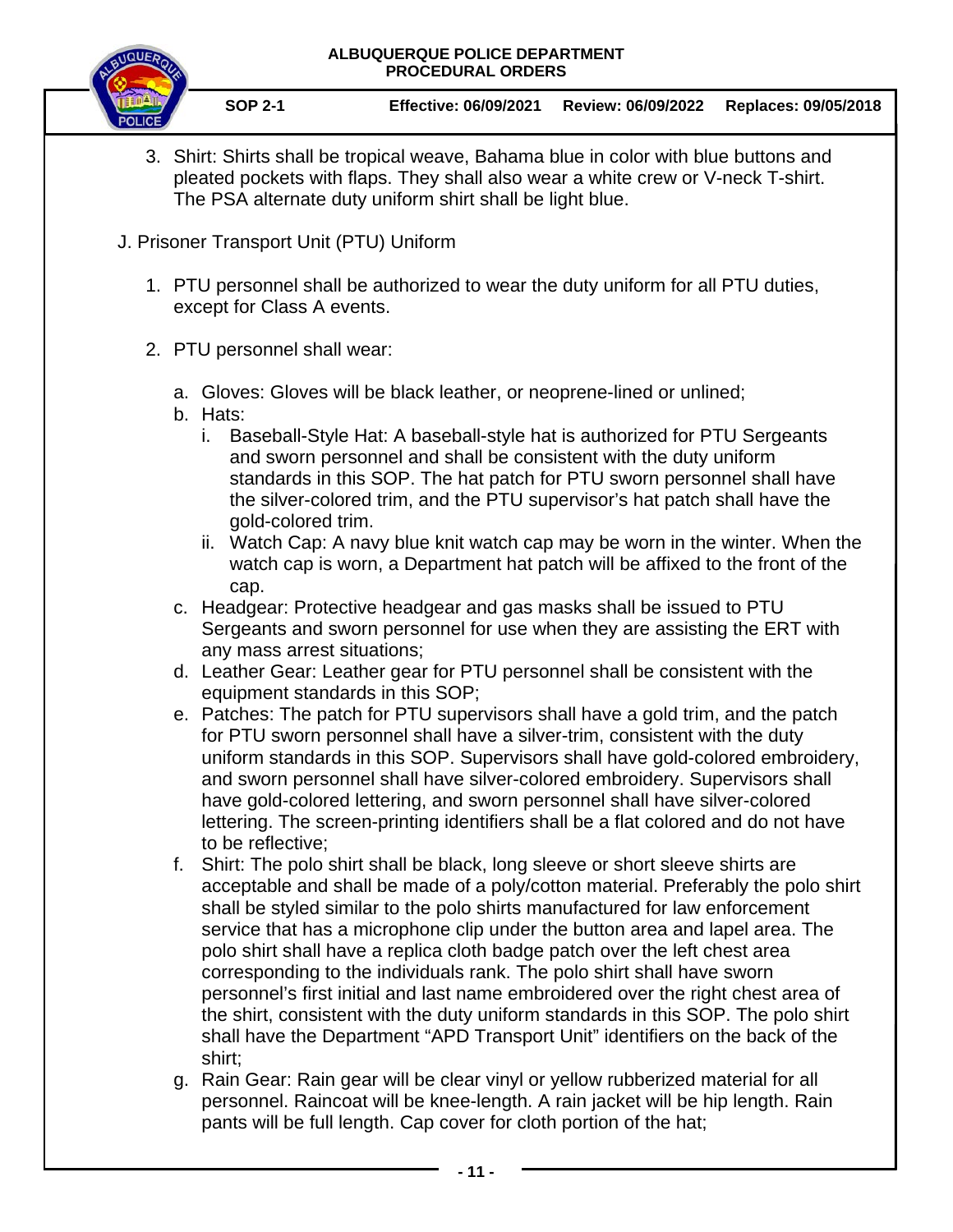

- 3. Shirt: Shirts shall be tropical weave, Bahama blue in color with blue buttons and pleated pockets with flaps. They shall also wear a white crew or V-neck T-shirt. The PSA alternate duty uniform shirt shall be light blue.
- J. Prisoner Transport Unit (PTU) Uniform
	- 1. PTU personnel shall be authorized to wear the duty uniform for all PTU duties, except for Class A events.
	- 2. PTU personnel shall wear:
		- a. Gloves: Gloves will be black leather, or neoprene-lined or unlined;
		- b. Hats:
			- i. Baseball-Style Hat: A baseball-style hat is authorized for PTU Sergeants and sworn personnel and shall be consistent with the duty uniform standards in this SOP. The hat patch for PTU sworn personnel shall have the silver-colored trim, and the PTU supervisor's hat patch shall have the gold-colored trim.
			- ii. Watch Cap: A navy blue knit watch cap may be worn in the winter. When the watch cap is worn, a Department hat patch will be affixed to the front of the cap.
		- c. Headgear: Protective headgear and gas masks shall be issued to PTU Sergeants and sworn personnel for use when they are assisting the ERT with any mass arrest situations;
		- d. Leather Gear: Leather gear for PTU personnel shall be consistent with the equipment standards in this SOP;
		- e. Patches: The patch for PTU supervisors shall have a gold trim, and the patch for PTU sworn personnel shall have a silver-trim, consistent with the duty uniform standards in this SOP. Supervisors shall have gold-colored embroidery, and sworn personnel shall have silver-colored embroidery. Supervisors shall have gold-colored lettering, and sworn personnel shall have silver-colored lettering. The screen-printing identifiers shall be a flat colored and do not have to be reflective;
		- f. Shirt: The polo shirt shall be black, long sleeve or short sleeve shirts are acceptable and shall be made of a poly/cotton material. Preferably the polo shirt shall be styled similar to the polo shirts manufactured for law enforcement service that has a microphone clip under the button area and lapel area. The polo shirt shall have a replica cloth badge patch over the left chest area corresponding to the individuals rank. The polo shirt shall have sworn personnel's first initial and last name embroidered over the right chest area of the shirt, consistent with the duty uniform standards in this SOP. The polo shirt shall have the Department "APD Transport Unit" identifiers on the back of the shirt;
		- g. Rain Gear: Rain gear will be clear vinyl or yellow rubberized material for all personnel. Raincoat will be knee-length. A rain jacket will be hip length. Rain pants will be full length. Cap cover for cloth portion of the hat;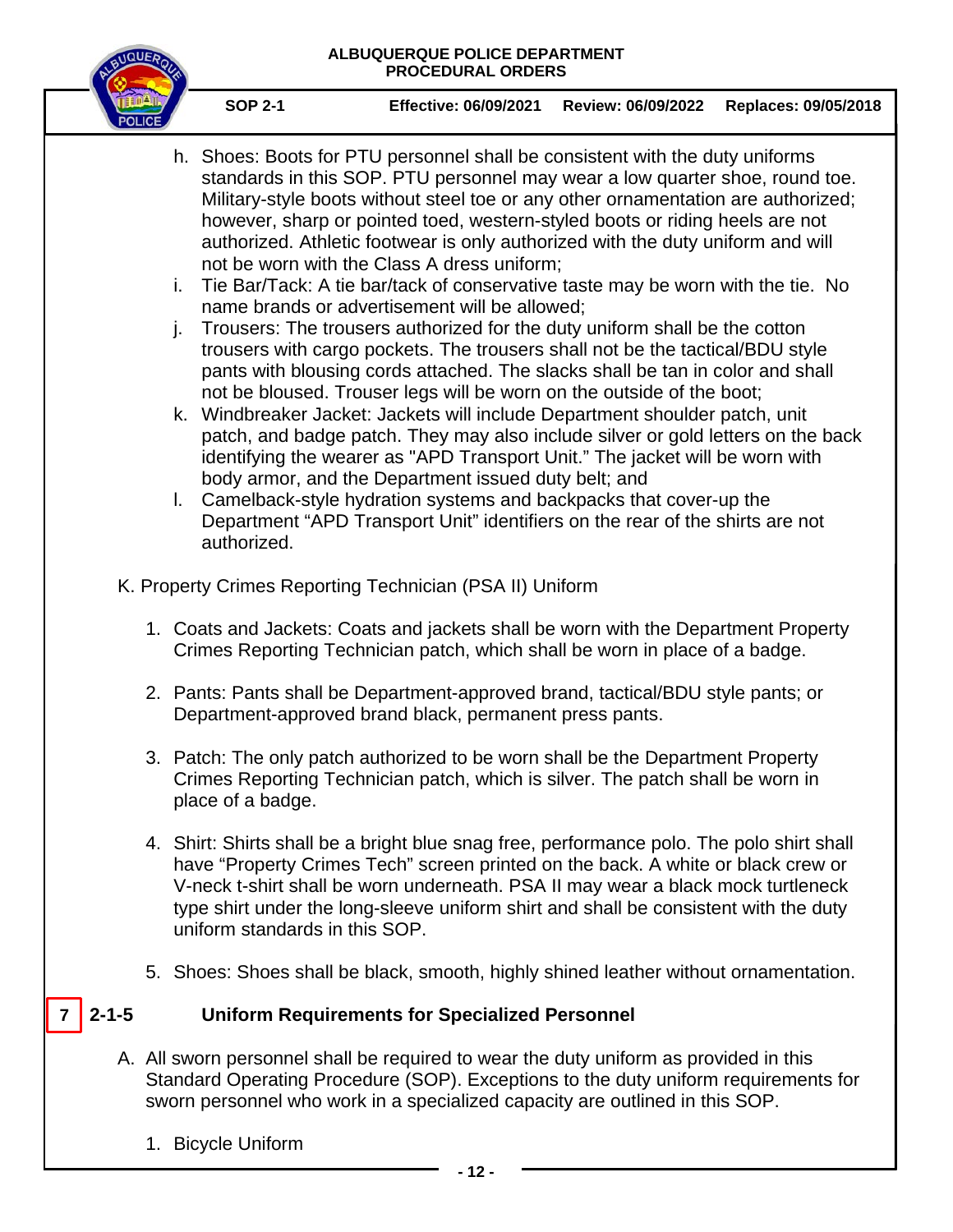

**SOP 2-1 Effective: 06/09/2021 Review: 06/09/2022 Replaces: 09/05/2018**

- h. Shoes: Boots for PTU personnel shall be consistent with the duty uniforms standards in this SOP. PTU personnel may wear a low quarter shoe, round toe. Military-style boots without steel toe or any other ornamentation are authorized; however, sharp or pointed toed, western-styled boots or riding heels are not authorized. Athletic footwear is only authorized with the duty uniform and will not be worn with the Class A dress uniform;
- i. Tie Bar/Tack: A tie bar/tack of conservative taste may be worn with the tie. No name brands or advertisement will be allowed;
- j. Trousers: The trousers authorized for the duty uniform shall be the cotton trousers with cargo pockets. The trousers shall not be the tactical/BDU style pants with blousing cords attached. The slacks shall be tan in color and shall not be bloused. Trouser legs will be worn on the outside of the boot;
- k. Windbreaker Jacket: Jackets will include Department shoulder patch, unit patch, and badge patch. They may also include silver or gold letters on the back identifying the wearer as "APD Transport Unit." The jacket will be worn with body armor, and the Department issued duty belt; and
- l. Camelback-style hydration systems and backpacks that cover-up the Department "APD Transport Unit" identifiers on the rear of the shirts are not authorized.
- K. Property Crimes Reporting Technician (PSA II) Uniform
	- 1. Coats and Jackets: Coats and jackets shall be worn with the Department Property Crimes Reporting Technician patch, which shall be worn in place of a badge.
	- 2. Pants: Pants shall be Department-approved brand, tactical/BDU style pants; or Department-approved brand black, permanent press pants.
	- 3. Patch: The only patch authorized to be worn shall be the Department Property Crimes Reporting Technician patch, which is silver. The patch shall be worn in place of a badge.
	- 4. Shirt: Shirts shall be a bright blue snag free, performance polo. The polo shirt shall have "Property Crimes Tech" screen printed on the back. A white or black crew or V-neck t-shirt shall be worn underneath. PSA II may wear a black mock turtleneck type shirt under the long-sleeve uniform shirt and shall be consistent with the duty uniform standards in this SOP.
	- 5. Shoes: Shoes shall be black, smooth, highly shined leather without ornamentation.

#### **2-1-5 Uniform Requirements for Specialized Personnel**  $7 \mid 2 - 1 - 5$

- A. All sworn personnel shall be required to wear the duty uniform as provided in this Standard Operating Procedure (SOP). Exceptions to the duty uniform requirements for sworn personnel who work in a specialized capacity are outlined in this SOP.
	- 1. Bicycle Uniform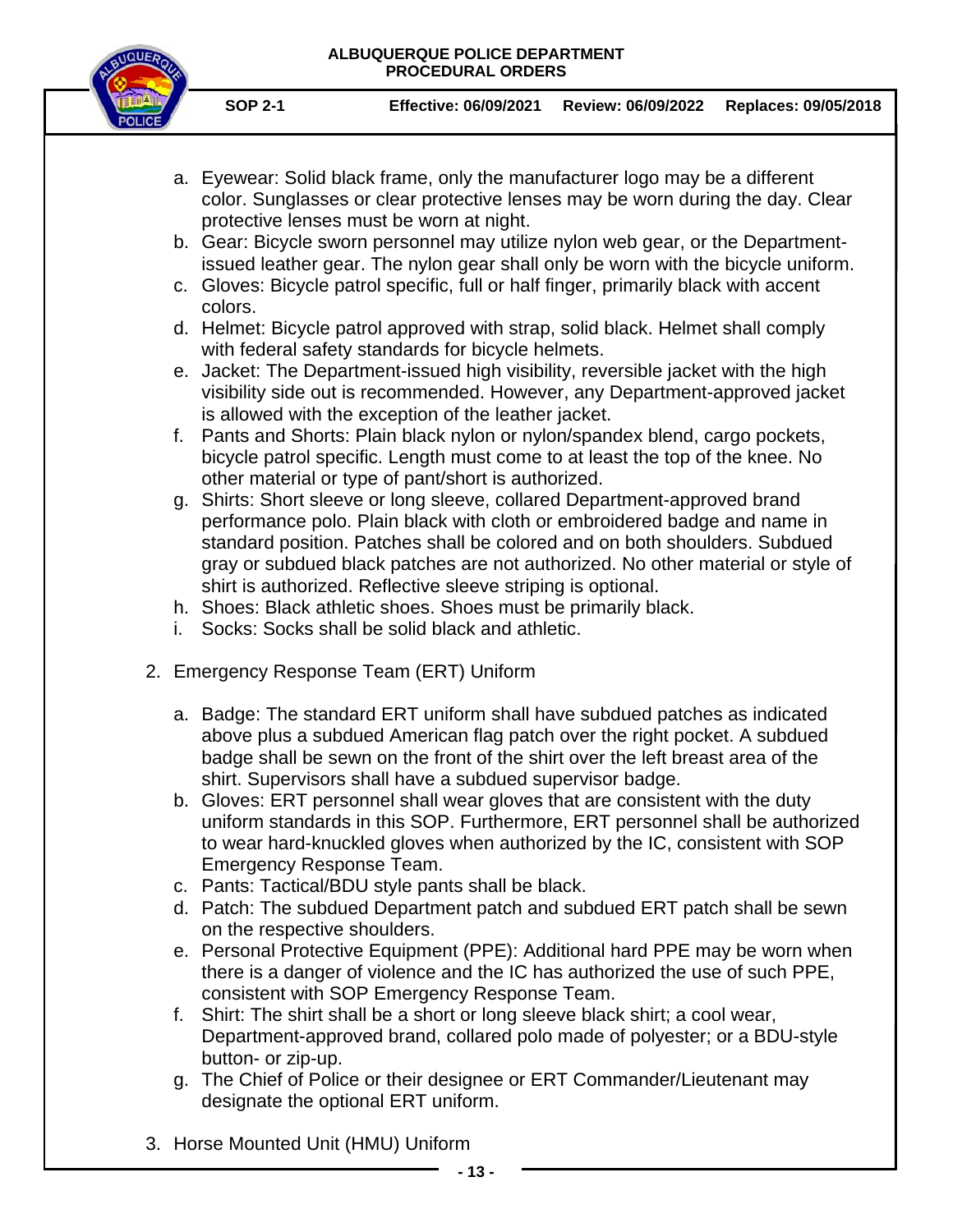

- **SOP 2-1 Effective: 06/09/2021 Review: 06/09/2022 Replaces: 09/05/2018**
- a. Eyewear: Solid black frame, only the manufacturer logo may be a different color. Sunglasses or clear protective lenses may be worn during the day. Clear protective lenses must be worn at night.
- b. Gear: Bicycle sworn personnel may utilize nylon web gear, or the Departmentissued leather gear. The nylon gear shall only be worn with the bicycle uniform.
- c. Gloves: Bicycle patrol specific, full or half finger, primarily black with accent colors.
- d. Helmet: Bicycle patrol approved with strap, solid black. Helmet shall comply with federal safety standards for bicycle helmets.
- e. Jacket: The Department-issued high visibility, reversible jacket with the high visibility side out is recommended. However, any Department-approved jacket is allowed with the exception of the leather jacket.
- f. Pants and Shorts: Plain black nylon or nylon/spandex blend, cargo pockets, bicycle patrol specific. Length must come to at least the top of the knee. No other material or type of pant/short is authorized.
- g. Shirts: Short sleeve or long sleeve, collared Department-approved brand performance polo. Plain black with cloth or embroidered badge and name in standard position. Patches shall be colored and on both shoulders. Subdued gray or subdued black patches are not authorized. No other material or style of shirt is authorized. Reflective sleeve striping is optional.
- h. Shoes: Black athletic shoes. Shoes must be primarily black.
- i. Socks: Socks shall be solid black and athletic.
- 2. Emergency Response Team (ERT) Uniform
	- a. Badge: The standard ERT uniform shall have subdued patches as indicated above plus a subdued American flag patch over the right pocket. A subdued badge shall be sewn on the front of the shirt over the left breast area of the shirt. Supervisors shall have a subdued supervisor badge.
	- b. Gloves: ERT personnel shall wear gloves that are consistent with the duty uniform standards in this SOP. Furthermore, ERT personnel shall be authorized to wear hard-knuckled gloves when authorized by the IC, consistent with SOP Emergency Response Team.
	- c. Pants: Tactical/BDU style pants shall be black.
	- d. Patch: The subdued Department patch and subdued ERT patch shall be sewn on the respective shoulders.
	- e. Personal Protective Equipment (PPE): Additional hard PPE may be worn when there is a danger of violence and the IC has authorized the use of such PPE, consistent with SOP Emergency Response Team.
	- f. Shirt: The shirt shall be a short or long sleeve black shirt; a cool wear, Department-approved brand, collared polo made of polyester; or a BDU-style button- or zip-up.
	- g. The Chief of Police or their designee or ERT Commander/Lieutenant may designate the optional ERT uniform.
- 3. Horse Mounted Unit (HMU) Uniform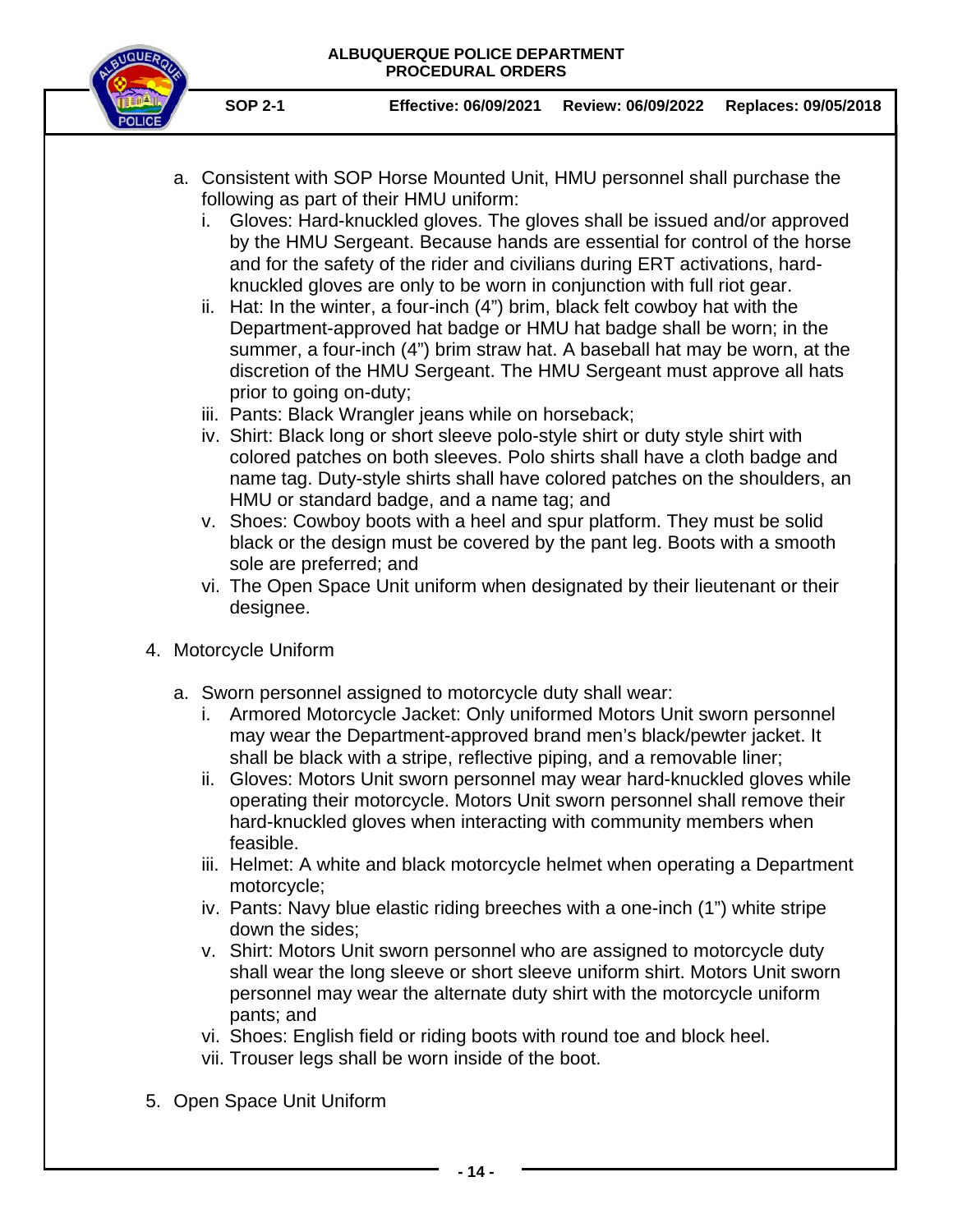

- a. Consistent with SOP Horse Mounted Unit, HMU personnel shall purchase the following as part of their HMU uniform:
	- i. Gloves: Hard-knuckled gloves. The gloves shall be issued and/or approved by the HMU Sergeant. Because hands are essential for control of the horse and for the safety of the rider and civilians during ERT activations, hardknuckled gloves are only to be worn in conjunction with full riot gear.
	- ii. Hat: In the winter, a four-inch (4") brim, black felt cowboy hat with the Department-approved hat badge or HMU hat badge shall be worn; in the summer, a four-inch (4") brim straw hat. A baseball hat may be worn, at the discretion of the HMU Sergeant. The HMU Sergeant must approve all hats prior to going on-duty;
	- iii. Pants: Black Wrangler jeans while on horseback;
	- iv. Shirt: Black long or short sleeve polo-style shirt or duty style shirt with colored patches on both sleeves. Polo shirts shall have a cloth badge and name tag. Duty-style shirts shall have colored patches on the shoulders, an HMU or standard badge, and a name tag; and
	- v. Shoes: Cowboy boots with a heel and spur platform. They must be solid black or the design must be covered by the pant leg. Boots with a smooth sole are preferred; and
	- vi. The Open Space Unit uniform when designated by their lieutenant or their designee.
- 4. Motorcycle Uniform
	- a. Sworn personnel assigned to motorcycle duty shall wear:
		- i. Armored Motorcycle Jacket: Only uniformed Motors Unit sworn personnel may wear the Department-approved brand men's black/pewter jacket. It shall be black with a stripe, reflective piping, and a removable liner;
		- ii. Gloves: Motors Unit sworn personnel may wear hard-knuckled gloves while operating their motorcycle. Motors Unit sworn personnel shall remove their hard-knuckled gloves when interacting with community members when feasible.
		- iii. Helmet: A white and black motorcycle helmet when operating a Department motorcycle;
		- iv. Pants: Navy blue elastic riding breeches with a one-inch (1") white stripe down the sides;
		- v. Shirt: Motors Unit sworn personnel who are assigned to motorcycle duty shall wear the long sleeve or short sleeve uniform shirt. Motors Unit sworn personnel may wear the alternate duty shirt with the motorcycle uniform pants; and
		- vi. Shoes: English field or riding boots with round toe and block heel.
		- vii. Trouser legs shall be worn inside of the boot.
- 5. Open Space Unit Uniform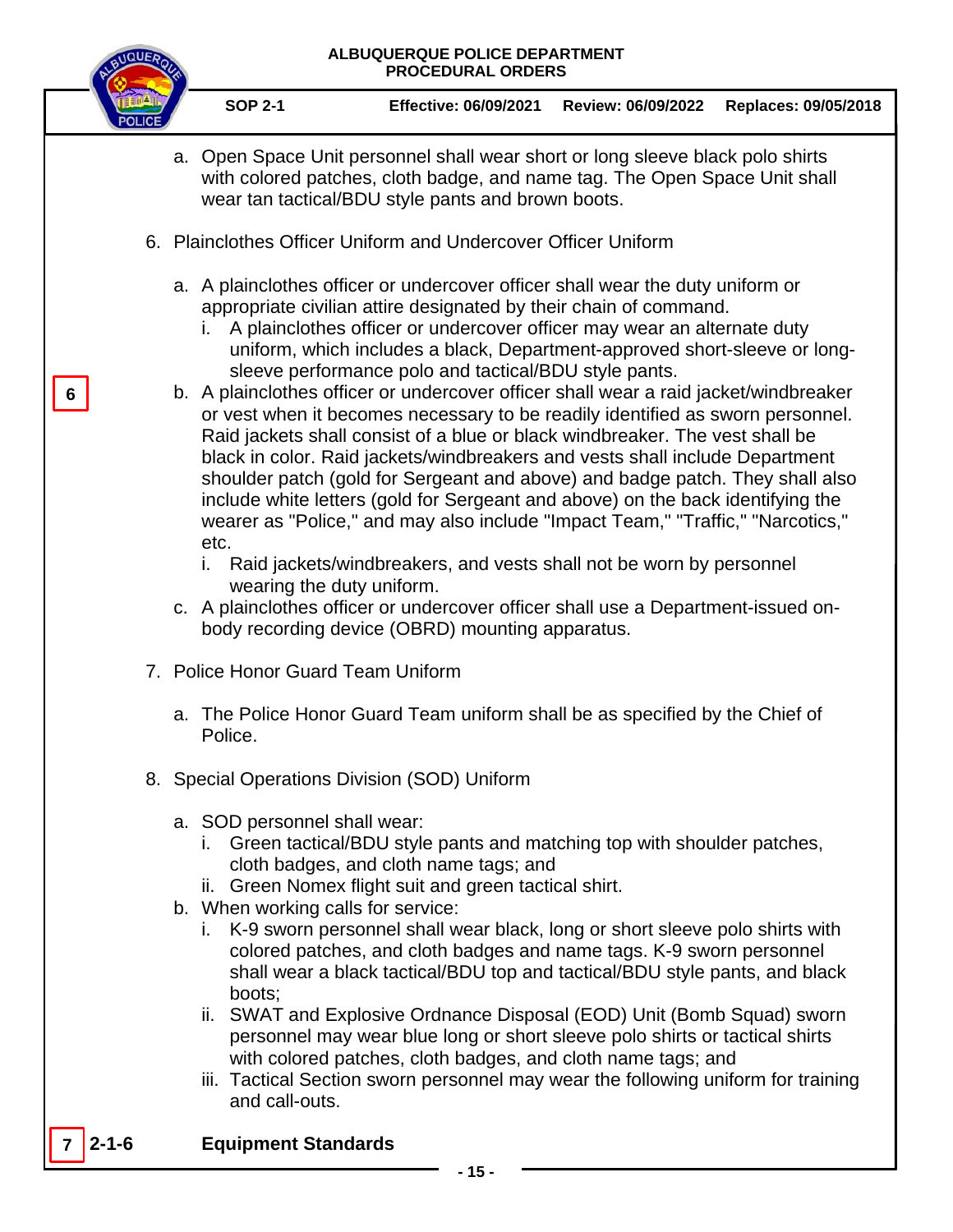

**6**

**SOP 2-1 Effective: 06/09/2021 Review: 06/09/2022 Replaces: 09/05/2018**

- a. Open Space Unit personnel shall wear short or long sleeve black polo shirts with colored patches, cloth badge, and name tag. The Open Space Unit shall wear tan tactical/BDU style pants and brown boots.
- 6. Plainclothes Officer Uniform and Undercover Officer Uniform
	- a. A plainclothes officer or undercover officer shall wear the duty uniform or appropriate civilian attire designated by their chain of command.
		- i. A plainclothes officer or undercover officer may wear an alternate duty uniform, which includes a black, Department-approved short-sleeve or longsleeve performance polo and tactical/BDU style pants.
	- b. A plainclothes officer or undercover officer shall wear a raid jacket/windbreaker or vest when it becomes necessary to be readily identified as sworn personnel. Raid jackets shall consist of a blue or black windbreaker. The vest shall be black in color. Raid jackets/windbreakers and vests shall include Department shoulder patch (gold for Sergeant and above) and badge patch. They shall also include white letters (gold for Sergeant and above) on the back identifying the wearer as "Police," and may also include "Impact Team," "Traffic," "Narcotics," etc.
		- i. Raid jackets/windbreakers, and vests shall not be worn by personnel wearing the duty uniform.
	- c. A plainclothes officer or undercover officer shall use a Department-issued onbody recording device (OBRD) mounting apparatus.
- 7. Police Honor Guard Team Uniform
	- a. The Police Honor Guard Team uniform shall be as specified by the Chief of Police.
- 8. Special Operations Division (SOD) Uniform
	- a. SOD personnel shall wear:
		- i. Green tactical/BDU style pants and matching top with shoulder patches, cloth badges, and cloth name tags; and
		- ii. Green Nomex flight suit and green tactical shirt.
	- b. When working calls for service:
		- i. K-9 sworn personnel shall wear black, long or short sleeve polo shirts with colored patches, and cloth badges and name tags. K-9 sworn personnel shall wear a black tactical/BDU top and tactical/BDU style pants, and black boots;
		- ii. SWAT and Explosive Ordnance Disposal (EOD) Unit (Bomb Squad) sworn personnel may wear blue long or short sleeve polo shirts or tactical shirts with colored patches, cloth badges, and cloth name tags; and
		- iii. Tactical Section sworn personnel may wear the following uniform for training and call-outs.

## **7 2-1-6 Equipment Standards**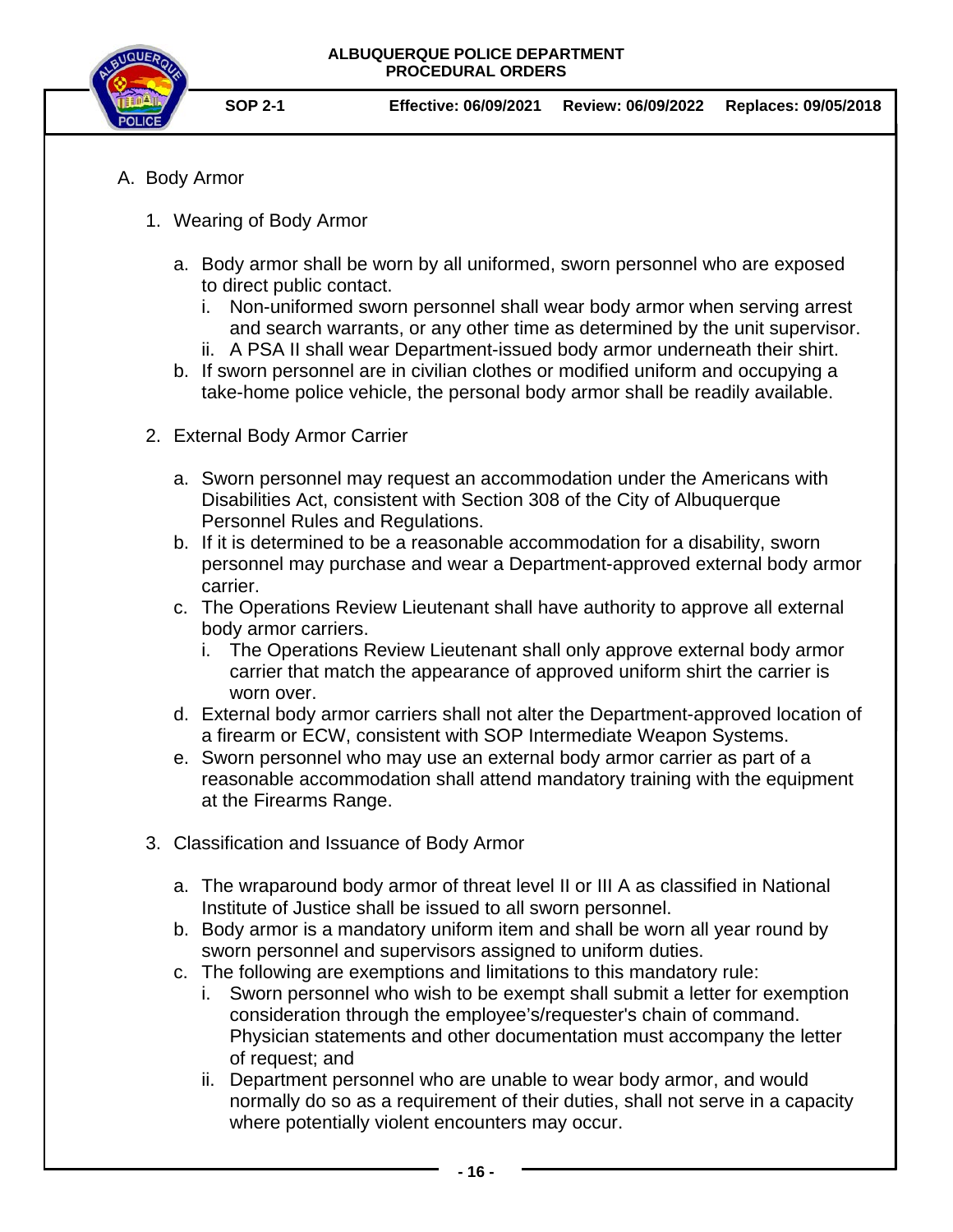

- A. Body Armor
	- 1. Wearing of Body Armor
		- a. Body armor shall be worn by all uniformed, sworn personnel who are exposed to direct public contact.
			- i. Non-uniformed sworn personnel shall wear body armor when serving arrest and search warrants, or any other time as determined by the unit supervisor.
			- ii. A PSA II shall wear Department-issued body armor underneath their shirt.
		- b. If sworn personnel are in civilian clothes or modified uniform and occupying a take-home police vehicle, the personal body armor shall be readily available.
	- 2. External Body Armor Carrier
		- a. Sworn personnel may request an accommodation under the Americans with Disabilities Act, consistent with Section 308 of the City of Albuquerque Personnel Rules and Regulations.
		- b. If it is determined to be a reasonable accommodation for a disability, sworn personnel may purchase and wear a Department-approved external body armor carrier.
		- c. The Operations Review Lieutenant shall have authority to approve all external body armor carriers.
			- i. The Operations Review Lieutenant shall only approve external body armor carrier that match the appearance of approved uniform shirt the carrier is worn over.
		- d. External body armor carriers shall not alter the Department-approved location of a firearm or ECW, consistent with SOP Intermediate Weapon Systems.
		- e. Sworn personnel who may use an external body armor carrier as part of a reasonable accommodation shall attend mandatory training with the equipment at the Firearms Range.
	- 3. Classification and Issuance of Body Armor
		- a. The wraparound body armor of threat level II or III A as classified in National Institute of Justice shall be issued to all sworn personnel.
		- b. Body armor is a mandatory uniform item and shall be worn all year round by sworn personnel and supervisors assigned to uniform duties.
		- c. The following are exemptions and limitations to this mandatory rule:
			- i. Sworn personnel who wish to be exempt shall submit a letter for exemption consideration through the employee's/requester's chain of command. Physician statements and other documentation must accompany the letter of request; and
			- ii. Department personnel who are unable to wear body armor, and would normally do so as a requirement of their duties, shall not serve in a capacity where potentially violent encounters may occur.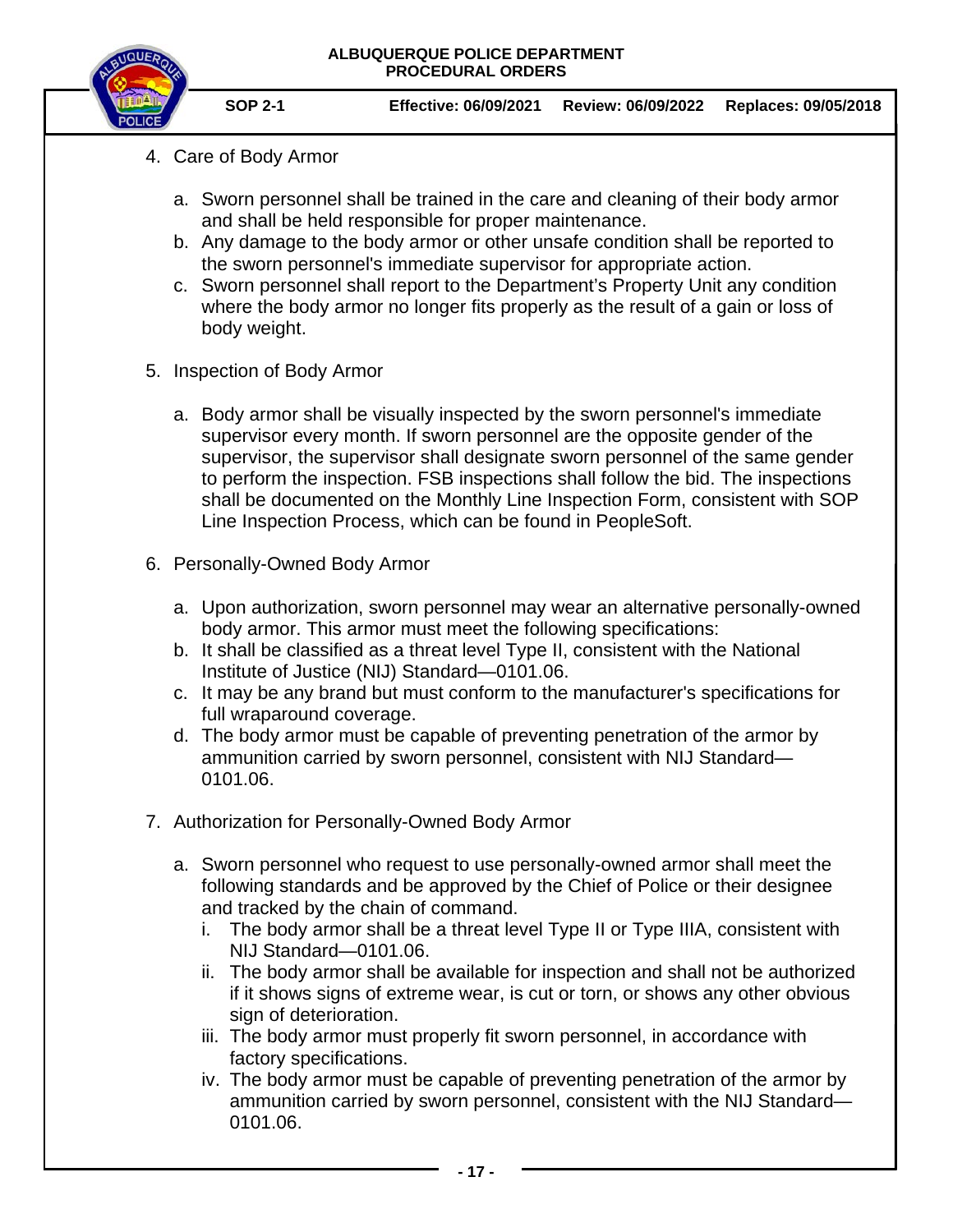

- 4. Care of Body Armor
	- a. Sworn personnel shall be trained in the care and cleaning of their body armor and shall be held responsible for proper maintenance.
	- b. Any damage to the body armor or other unsafe condition shall be reported to the sworn personnel's immediate supervisor for appropriate action.
	- c. Sworn personnel shall report to the Department's Property Unit any condition where the body armor no longer fits properly as the result of a gain or loss of body weight.
- 5. Inspection of Body Armor
	- a. Body armor shall be visually inspected by the sworn personnel's immediate supervisor every month. If sworn personnel are the opposite gender of the supervisor, the supervisor shall designate sworn personnel of the same gender to perform the inspection. FSB inspections shall follow the bid. The inspections shall be documented on the Monthly Line Inspection Form, consistent with SOP Line Inspection Process, which can be found in PeopleSoft.
- 6. Personally-Owned Body Armor
	- a. Upon authorization, sworn personnel may wear an alternative personally-owned body armor. This armor must meet the following specifications:
	- b. It shall be classified as a threat level Type II, consistent with the National Institute of Justice (NIJ) Standard—0101.06.
	- c. It may be any brand but must conform to the manufacturer's specifications for full wraparound coverage.
	- d. The body armor must be capable of preventing penetration of the armor by ammunition carried by sworn personnel, consistent with NIJ Standard— 0101.06.
- 7. Authorization for Personally-Owned Body Armor
	- a. Sworn personnel who request to use personally-owned armor shall meet the following standards and be approved by the Chief of Police or their designee and tracked by the chain of command.
		- i. The body armor shall be a threat level Type II or Type IIIA, consistent with NIJ Standard—0101.06.
		- ii. The body armor shall be available for inspection and shall not be authorized if it shows signs of extreme wear, is cut or torn, or shows any other obvious sign of deterioration.
		- iii. The body armor must properly fit sworn personnel, in accordance with factory specifications.
		- iv. The body armor must be capable of preventing penetration of the armor by ammunition carried by sworn personnel, consistent with the NIJ Standard— 0101.06.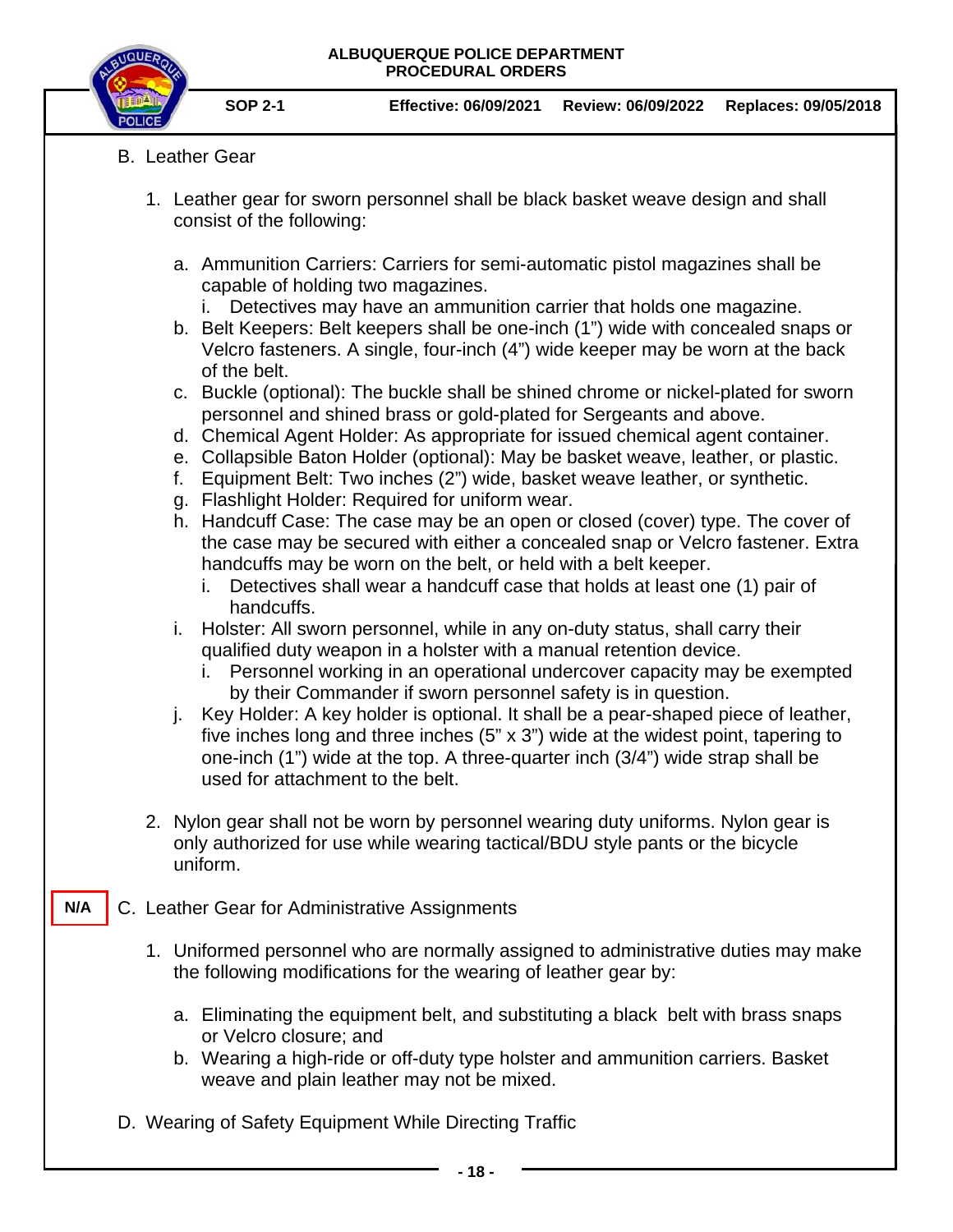

**N/A**

- B. Leather Gear
	- 1. Leather gear for sworn personnel shall be black basket weave design and shall consist of the following:
		- a. Ammunition Carriers: Carriers for semi-automatic pistol magazines shall be capable of holding two magazines.
			- i. Detectives may have an ammunition carrier that holds one magazine.
		- b. Belt Keepers: Belt keepers shall be one-inch (1") wide with concealed snaps or Velcro fasteners. A single, four-inch (4") wide keeper may be worn at the back of the belt.
		- c. Buckle (optional): The buckle shall be shined chrome or nickel-plated for sworn personnel and shined brass or gold-plated for Sergeants and above.
		- d. Chemical Agent Holder: As appropriate for issued chemical agent container.
		- e. Collapsible Baton Holder (optional): May be basket weave, leather, or plastic.
		- f. Equipment Belt: Two inches (2") wide, basket weave leather, or synthetic.
		- g. Flashlight Holder: Required for uniform wear.
		- h. Handcuff Case: The case may be an open or closed (cover) type. The cover of the case may be secured with either a concealed snap or Velcro fastener. Extra handcuffs may be worn on the belt, or held with a belt keeper.
			- i. Detectives shall wear a handcuff case that holds at least one (1) pair of handcuffs.
		- i. Holster: All sworn personnel, while in any on-duty status, shall carry their qualified duty weapon in a holster with a manual retention device.
			- i. Personnel working in an operational undercover capacity may be exempted by their Commander if sworn personnel safety is in question.
		- j. Key Holder: A key holder is optional. It shall be a pear-shaped piece of leather, five inches long and three inches (5" x 3") wide at the widest point, tapering to one-inch (1") wide at the top. A three-quarter inch (3/4") wide strap shall be used for attachment to the belt.
	- 2. Nylon gear shall not be worn by personnel wearing duty uniforms. Nylon gear is only authorized for use while wearing tactical/BDU style pants or the bicycle uniform.
- C. Leather Gear for Administrative Assignments
	- 1. Uniformed personnel who are normally assigned to administrative duties may make the following modifications for the wearing of leather gear by:
		- a. Eliminating the equipment belt, and substituting a black belt with brass snaps or Velcro closure; and
		- b. Wearing a high-ride or off-duty type holster and ammunition carriers. Basket weave and plain leather may not be mixed.
- D. Wearing of Safety Equipment While Directing Traffic